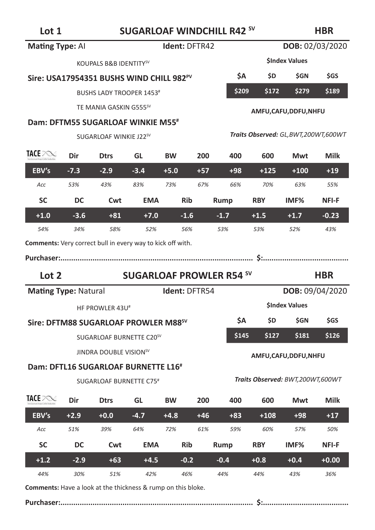**Lot 1 SUGARLOAF WINDCHILL R42 SV**

**HBR**

| Mating Type: Al                                            |        | Ident: DFTR42<br>DOB: 02/03/2020                     |                                 |               |       |        |                        |                                        |                 |  |
|------------------------------------------------------------|--------|------------------------------------------------------|---------------------------------|---------------|-------|--------|------------------------|----------------------------------------|-----------------|--|
|                                                            |        | KOUPALS B&B IDENTITY <sup>SV</sup>                   |                                 |               |       |        |                        | <b>SIndex Values</b>                   |                 |  |
|                                                            |        | Sire: USA17954351 BUSHS WIND CHILL 982 <sup>PV</sup> |                                 |               |       | \$Α    | \$D                    | <b>SGN</b>                             | <b>SGS</b>      |  |
|                                                            |        | <b>BUSHS LADY TROOPER 1453</b> #                     |                                 |               |       | \$209  | \$172                  | \$279                                  | \$189           |  |
|                                                            |        | TE MANIA GASKIN G555 <sup>SV</sup>                   |                                 |               |       |        | AMFU, CAFU, DDFU, NHFU |                                        |                 |  |
|                                                            |        | Dam: DFTM55 SUGARLOAF WINKIE M55#                    |                                 |               |       |        |                        |                                        |                 |  |
|                                                            |        | SUGARLOAF WINKIE J22SV                               |                                 |               |       |        |                        | Traits Observed: GL, BWT, 200WT, 600WT |                 |  |
| TACE PONE                                                  | Dir    | <b>Dtrs</b>                                          | GL                              | <b>BW</b>     | 200   | 400    | 600                    | Mwt                                    | <b>Milk</b>     |  |
| EBV's                                                      | $-7.3$ | $-2.9$                                               | $-3.4$                          | $+5.0$        | $+57$ | $+98$  | $+125$                 | $+100$                                 | $+19$           |  |
| Acc                                                        | 53%    | 43%                                                  | 83%                             | 73%           | 67%   | 66%    | 70%                    | 63%                                    | 55%             |  |
| <b>SC</b>                                                  | DC     | Cwt                                                  | <b>EMA</b>                      | <b>Rib</b>    |       | Rump   | <b>RBY</b>             | IMF%                                   | NFI-F           |  |
| $+1.0$                                                     | $-3.6$ | $+81$                                                | $+7.0$                          | $-1.6$        |       | $-1.7$ | $+1.5$                 | $+1.7$                                 | $-0.23$         |  |
| 54%                                                        | 34%    | 58%                                                  | 52%                             | 56%           |       | 53%    | 53%                    | 52%                                    | 43%             |  |
| Comments: Very correct bull in every way to kick off with. |        |                                                      |                                 |               |       |        |                        |                                        |                 |  |
|                                                            |        |                                                      |                                 |               |       |        |                        |                                        |                 |  |
|                                                            |        |                                                      |                                 |               |       |        |                        |                                        |                 |  |
| Lot 2                                                      |        |                                                      | <b>SUGARLOAF PROWLER R54 SV</b> |               |       |        |                        |                                        | <b>HBR</b>      |  |
| <b>Mating Type: Natural</b>                                |        |                                                      |                                 | Ident: DFTR54 |       |        |                        |                                        | DOB: 09/04/2020 |  |
|                                                            |        | HF PROWLER 43U#                                      |                                 |               |       |        |                        | <b>SIndex Values</b>                   |                 |  |
|                                                            |        | Sire: DFTM88 SUGARLOAF PROWLER M88 <sup>sv</sup>     |                                 |               |       | \$Α    | \$D                    | \$GN                                   | \$GS            |  |
|                                                            |        | SUGARLOAF BURNETTE C20 <sup>SV</sup>                 |                                 |               |       | \$145  | \$127                  | \$181                                  | \$126           |  |
|                                                            |        | JINDRA DOUBLE VISION <sup>SV</sup>                   |                                 |               |       |        |                        | AMFU,CAFU,DDFU,NHFU                    |                 |  |
|                                                            |        | Dam: DFTL16 SUGARLOAF BURNETTE L16 <sup>#</sup>      |                                 |               |       |        |                        |                                        |                 |  |
|                                                            |        | SUGARLOAF BURNETTE C75 <sup>#</sup>                  |                                 |               |       |        |                        | Traits Observed: BWT,200WT,600WT       |                 |  |
| TACE POST                                                  | Dir    | <b>Dtrs</b>                                          | GL                              | <b>BW</b>     | 200   | 400    | 600                    | Mwt                                    | Milk            |  |
| EBV's                                                      | $+2.9$ | $+0.0$                                               | $-4.7$                          | $+4.8$        | $+46$ | $+83$  | $+108$                 | $+98$                                  | $+17$           |  |
| Acc                                                        | 51%    | 39%                                                  | 64%                             | 72%           | 61%   | 59%    | 60%                    | 57%                                    | 50%             |  |
| <b>SC</b>                                                  | DC     | Cwt                                                  | <b>EMA</b>                      | <b>Rib</b>    |       | Rump   | <b>RBY</b>             | IMF <sub>%</sub>                       | NFI-F           |  |
| $+1.2$                                                     | $-2.9$ | $+63$                                                | $+4.5$                          | $-0.2$        |       | $-0.4$ | $+0.8$                 | $+0.4$                                 | $+0.00$         |  |

**Comments:** Have a look at the thickness & rump on this bloke.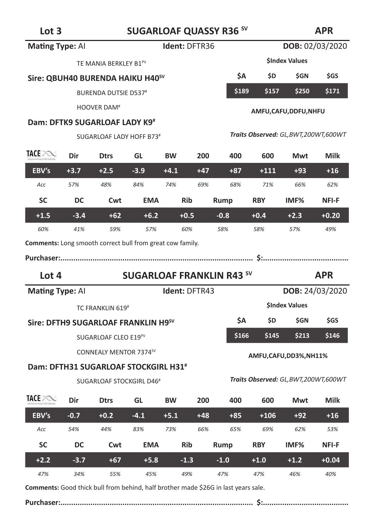# Lot 3 **SUGARLOAF QUASSY R36 SV**

### **APR**

|                                                                  |        |                                                  |            |                      |       |                                  |            | DOB: 02/03/2020                        |                        |  |  |
|------------------------------------------------------------------|--------|--------------------------------------------------|------------|----------------------|-------|----------------------------------|------------|----------------------------------------|------------------------|--|--|
| <b>Mating Type: Al</b>                                           |        |                                                  |            | <b>Ident: DFTR36</b> |       |                                  |            |                                        |                        |  |  |
|                                                                  |        | TE MANIA BERKLEY B1 <sup>PV</sup>                |            |                      |       |                                  |            | <b>SIndex Values</b>                   |                        |  |  |
|                                                                  |        | Sire: QBUH40 BURENDA HAIKU H40 <sup>sV</sup>     |            |                      |       | ŚΑ                               | \$D        | <b>SGN</b>                             | \$GS                   |  |  |
|                                                                  |        | <b>BURENDA DUTSIE D537#</b>                      |            |                      |       | \$189                            | \$157      | \$250                                  | \$171                  |  |  |
|                                                                  |        | <b>HOOVER DAM<sup>#</sup></b>                    |            |                      |       |                                  |            | AMFU,CAFU,DDFU,NHFU                    |                        |  |  |
|                                                                  |        | Dam: DFTK9 SUGARLOAF LADY K9 <sup>#</sup>        |            |                      |       |                                  |            |                                        |                        |  |  |
|                                                                  |        | SUGARLOAF LADY HOFF B73#                         |            |                      |       |                                  |            | Traits Observed: GL, BWT, 200WT, 600WT |                        |  |  |
| TACE POST                                                        | Dir    | <b>Dtrs</b>                                      | GL         | <b>BW</b>            | 200   | 400                              | 600        | Mwt                                    | Milk                   |  |  |
| EBV's                                                            | $+3.7$ | $+2.5$                                           | $-3.9$     | $+4.1$               | $+47$ | $+87$                            | $+111$     | $+93$                                  | $+16$                  |  |  |
| Acc                                                              | 57%    | 48%                                              | 84%        | 74%                  | 69%   | 68%                              | 71%        | 66%                                    | 62%                    |  |  |
| <b>SC</b>                                                        | DC     | Cwt                                              | <b>EMA</b> | <b>Rib</b>           |       | Rump                             | <b>RBY</b> | IMF%                                   | NFI-F                  |  |  |
| $+1.5$                                                           | $-3.4$ | $+62$                                            | $+6.2$     | $+0.5$               |       | $-0.8$                           | $+0.4$     | $+2.3$                                 | $+0.20$                |  |  |
| 60%                                                              | 41%    | 59%                                              | 57%        | 60%                  |       | 58%                              | 58%        | 57%                                    | 49%                    |  |  |
| <b>Comments:</b> Long smooth correct bull from great cow family. |        |                                                  |            |                      |       |                                  |            |                                        |                        |  |  |
|                                                                  |        |                                                  |            |                      |       |                                  |            |                                        |                        |  |  |
|                                                                  |        |                                                  |            |                      |       |                                  |            |                                        |                        |  |  |
| Lot 4                                                            |        |                                                  |            |                      |       | <b>SUGARLOAF FRANKLIN R43 SV</b> |            |                                        | <b>APR</b>             |  |  |
| <b>Mating Type: Al</b>                                           |        |                                                  |            | <b>Ident: DFTR43</b> |       |                                  |            |                                        | <b>DOB: 24/03/2020</b> |  |  |
|                                                                  |        | TC FRANKLIN 619#                                 |            |                      |       |                                  |            | <b>SIndex Values</b>                   |                        |  |  |
|                                                                  |        | Sire: DFTH9 SUGARLOAF FRANKLIN H9 <sup>sV</sup>  |            |                      |       | ŚА                               | \$D.       | \$GN                                   | \$GS                   |  |  |
|                                                                  |        | SUGARLOAF CLEO E19 <sup>PV</sup>                 |            |                      |       | \$166                            | \$145      | \$213                                  | \$146                  |  |  |
|                                                                  |        | CONNEALY MENTOR 7374SV                           |            |                      |       |                                  |            |                                        |                        |  |  |
|                                                                  |        | Dam: DFTH31 SUGARLOAF STOCKGIRL H31 <sup>#</sup> |            |                      |       |                                  |            | AMFU,CAFU,DD3%,NH11%                   |                        |  |  |
|                                                                  |        | SUGARLOAF STOCKGIRL D46 <sup>#</sup>             |            |                      |       |                                  |            | Traits Observed: GL, BWT, 200WT, 600WT |                        |  |  |
| TACE POST                                                        | Dir    | <b>Dtrs</b>                                      | GL         | <b>BW</b>            | 200   | 400                              | 600        | Mwt                                    | Milk                   |  |  |
| EBV's                                                            | $-0.7$ | $+0.2$                                           | $-4.1$     | $+5.1$               | $+48$ | $+85$                            | $+106$     | $+92$                                  | $+16$                  |  |  |
| Acc                                                              | 54%    | 44%                                              | 83%        | 73%                  | 66%   | 65%                              | 69%        | 62%                                    | 53%                    |  |  |
| SC                                                               | DC     | Cwt                                              | <b>EMA</b> | <b>Rib</b>           |       | Rump                             | <b>RBY</b> | IMF <sub>%</sub>                       | NFI-F                  |  |  |
| $+2.2$                                                           | $-3.7$ | $+67$                                            | $+5.8$     | $-1.3$               |       | $-1.0$                           | $+1.0$     | $+1.2$                                 | $+0.04$                |  |  |

**Comments:** Good thick bull from behind, half brother made \$26G in last years sale.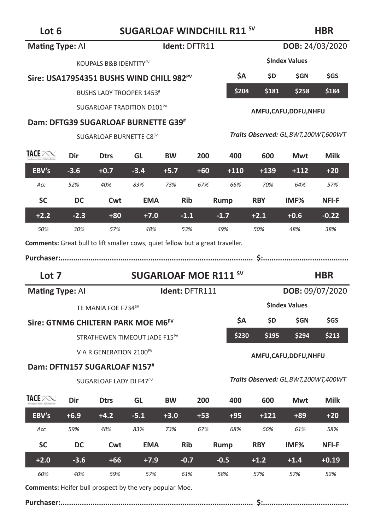**Lot 6 SUGARLOAF WINDCHILL R11 SV**

**HBR**

| <b>Mating Type: Al</b>                |                                                                     |            | Ident: DFTR11                                                 |                                                                                                                                                                                      |               |                                                                                               |                                        | DOB: 24/03/2020                                                                       |
|---------------------------------------|---------------------------------------------------------------------|------------|---------------------------------------------------------------|--------------------------------------------------------------------------------------------------------------------------------------------------------------------------------------|---------------|-----------------------------------------------------------------------------------------------|----------------------------------------|---------------------------------------------------------------------------------------|
|                                       |                                                                     |            |                                                               |                                                                                                                                                                                      |               |                                                                                               |                                        |                                                                                       |
|                                       |                                                                     |            |                                                               |                                                                                                                                                                                      | <b>ŚΑ</b>     | \$D                                                                                           | <b>SGN</b>                             | <b>SGS</b>                                                                            |
|                                       |                                                                     |            |                                                               |                                                                                                                                                                                      |               | \$181                                                                                         | \$258                                  | \$184                                                                                 |
|                                       |                                                                     |            |                                                               |                                                                                                                                                                                      |               |                                                                                               |                                        |                                                                                       |
|                                       |                                                                     |            |                                                               |                                                                                                                                                                                      |               |                                                                                               |                                        |                                                                                       |
|                                       |                                                                     |            |                                                               |                                                                                                                                                                                      |               |                                                                                               |                                        |                                                                                       |
| Dir                                   | <b>Dtrs</b>                                                         | GL         | <b>BW</b>                                                     | 200                                                                                                                                                                                  | 400           | 600                                                                                           | Mwt                                    | Milk                                                                                  |
| $-3.6$                                | $+0.7$                                                              | $-3.4$     | $+5.7$                                                        | $+60$                                                                                                                                                                                | $+110$        | $+139$                                                                                        | $+112$                                 | $+20$                                                                                 |
| 52%                                   | 40%                                                                 | 83%        | 73%                                                           | 67%                                                                                                                                                                                  | 66%           | 70%                                                                                           | 64%                                    | 57%                                                                                   |
| DC                                    | Cwt                                                                 | <b>EMA</b> | <b>Rib</b>                                                    |                                                                                                                                                                                      |               | <b>RBY</b>                                                                                    | IMF <sub>%</sub>                       | NFI-F                                                                                 |
| $-2.3$                                | $+80$                                                               | $+7.0$     |                                                               |                                                                                                                                                                                      | $-1.7$        | $+2.1$                                                                                        | $+0.6$                                 | $-0.22$                                                                               |
| 30%                                   | 57%                                                                 | 48%        |                                                               |                                                                                                                                                                                      | 49%           | 50%                                                                                           | 48%                                    | 38%                                                                                   |
|                                       |                                                                     |            |                                                               |                                                                                                                                                                                      |               |                                                                                               |                                        |                                                                                       |
| <b>SUGARLOAF MOE R111 SV</b><br>Lot 7 |                                                                     |            |                                                               |                                                                                                                                                                                      |               |                                                                                               |                                        |                                                                                       |
|                                       |                                                                     |            |                                                               |                                                                                                                                                                                      |               |                                                                                               |                                        | <b>HBR</b>                                                                            |
| <b>Mating Type: Al</b>                |                                                                     |            | Ident: DFTR111                                                |                                                                                                                                                                                      |               |                                                                                               |                                        | DOB: 09/07/2020                                                                       |
|                                       | TE MANIA FOE F734SV                                                 |            |                                                               |                                                                                                                                                                                      |               |                                                                                               | <b>SIndex Values</b>                   |                                                                                       |
|                                       | Sire: GTNM6 CHILTERN PARK MOE M6 <sup>PV</sup>                      |            |                                                               |                                                                                                                                                                                      | \$A           | \$D                                                                                           | \$GN                                   | \$GS                                                                                  |
|                                       | STRATHEWEN TIMEOUT JADE F15 <sup>PV</sup>                           |            |                                                               |                                                                                                                                                                                      | \$230         | \$195                                                                                         | \$294                                  | \$213                                                                                 |
|                                       | V A R GENERATION 2100PV                                             |            |                                                               |                                                                                                                                                                                      |               |                                                                                               | AMFU,CAFU,DDFU,NHFU                    |                                                                                       |
|                                       | Dam: DFTN157 SUGARLOAF N157#<br>SUGARLOAF LADY DI F47 <sup>PV</sup> |            |                                                               |                                                                                                                                                                                      |               |                                                                                               | Traits Observed: GL, BWT, 200WT, 400WT |                                                                                       |
| Dir                                   | <b>Dtrs</b>                                                         | GL         | <b>BW</b>                                                     | 200                                                                                                                                                                                  | 400           | 600                                                                                           | Mwt                                    | <b>Milk</b>                                                                           |
| $+6.9$                                | $+4.2$                                                              | $-5.1$     | $+3.0$                                                        | $+53$                                                                                                                                                                                | $+95$         | $+121$                                                                                        | $+89$                                  | $+20$                                                                                 |
| 59%                                   | 48%                                                                 | 83%        | 73%                                                           | 67%                                                                                                                                                                                  | 68%           | 66%                                                                                           | 61%                                    | 58%                                                                                   |
| DC                                    | Cwt                                                                 | <b>EMA</b> | Rib                                                           |                                                                                                                                                                                      | Rump          | <b>RBY</b>                                                                                    | IMF%                                   | <b>NFI-F</b>                                                                          |
| $-3.6$                                | $+66$                                                               | $+7.9$     | $-0.7$                                                        |                                                                                                                                                                                      | $-0.5$        | $+1.2$                                                                                        | $+1.4$                                 | $+0.19$                                                                               |
|                                       |                                                                     |            | KOUPALS B&B IDENTITY <sup>SV</sup><br>SUGARLOAF BURNETTE C8SV | Sire: USA17954351 BUSHS WIND CHILL 982 <sup>PV</sup><br>BUSHS LADY TROOPER 1453 <sup>#</sup><br>SUGARLOAF TRADITION D101 <sup>PV</sup><br><b>Dam: DFTG39 SUGARLOAF BURNETTE G39#</b> | $-1.1$<br>53% | Rump<br><b>Comments:</b> Great bull to lift smaller cows, quiet fellow but a great traveller. | \$204                                  | <b>SIndex Values</b><br>AMFU,CAFU,DDFU,NHFU<br>Traits Observed: GL, BWT, 200WT, 600WT |

**Comments:** Heifer bull prospect by the very popular Moe.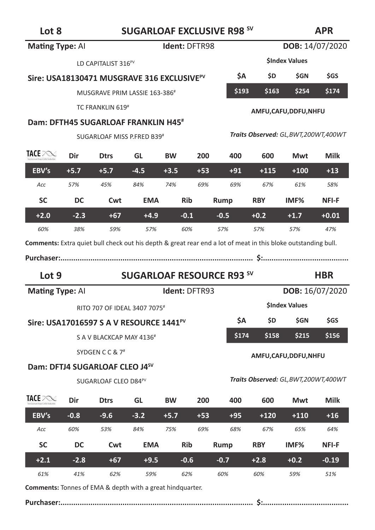### **APR**

**Comments:** Tonnes of EMA & depth with a great hindquarter.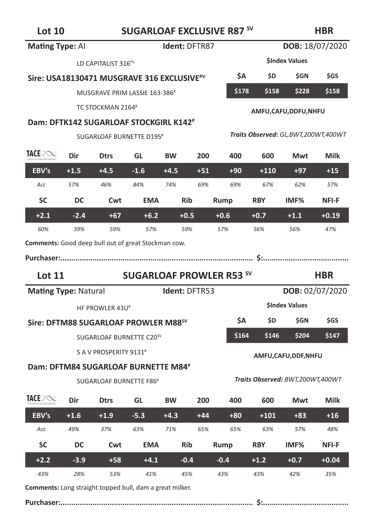

| Mating Type: Al                                            |        | Ident: DFTR87                                          |            |               |       |                                 |            |                                  | DOB: 18/07/2020                                       |  |  |
|------------------------------------------------------------|--------|--------------------------------------------------------|------------|---------------|-------|---------------------------------|------------|----------------------------------|-------------------------------------------------------|--|--|
|                                                            |        | LD CAPITALIST 316 <sup>PV</sup>                        |            |               |       |                                 |            | <b>SIndex Values</b>             |                                                       |  |  |
|                                                            |        | Sire: USA18130471 MUSGRAVE 316 EXCLUSIVE <sup>PV</sup> |            |               |       | \$Α                             | \$D        | \$GN                             | \$GS                                                  |  |  |
|                                                            |        | MUSGRAVE PRIM LASSIE 163-386#                          |            |               |       | \$178                           | \$158      | \$228                            | \$158                                                 |  |  |
|                                                            |        | TC STOCKMAN 2164#                                      |            |               |       |                                 |            | AMFU,CAFU,DDFU,NHFU              | Traits Observed: GL, BWT, 200WT, 400WT<br><b>Milk</b> |  |  |
|                                                            |        | Dam: DFTK142 SUGARLOAF STOCKGIRL K142 <sup>#</sup>     |            |               |       |                                 |            |                                  |                                                       |  |  |
|                                                            |        | SUGARLOAF BURNETTE D195#                               |            |               |       |                                 |            |                                  |                                                       |  |  |
| TACE POST                                                  | Dir    | <b>Dtrs</b>                                            | GL         | <b>BW</b>     | 200   | 400                             | 600        | Mwt                              |                                                       |  |  |
| EBV's                                                      | +1.5   | $+4.5$                                                 | $-1.6$     | +4.5          | $+51$ | $+90$                           | $+110$     | $+97$                            | $+15$                                                 |  |  |
| Acc                                                        | 57%    | 46%                                                    | 84%        | 74%           | 69%   | 69%                             | 67%        | 62%                              | 57%                                                   |  |  |
| <b>SC</b>                                                  | DC     | Cwt                                                    | <b>EMA</b> | Rib           |       | Rump                            | <b>RBY</b> | IMF%                             | NFI-F                                                 |  |  |
| $+2.1$                                                     | $-2.4$ | $+67$                                                  | $+6.2$     | $+0.5$        |       | $+0.6$                          | $+0.7$     | $+1.1$                           | $+0.19$                                               |  |  |
| 60%                                                        | 39%    | 59%                                                    | 57%        | 59%           |       | 57%                             | 56%        | 56%                              | 47%                                                   |  |  |
| <b>Comments:</b> Good deep bull out of great Stockman cow. |        |                                                        |            |               |       |                                 |            |                                  |                                                       |  |  |
|                                                            |        |                                                        |            |               |       |                                 |            |                                  |                                                       |  |  |
|                                                            |        |                                                        |            |               |       |                                 |            |                                  |                                                       |  |  |
| <b>Lot 11</b>                                              |        |                                                        |            |               |       | <b>SUGARLOAF PROWLER R53 SV</b> |            |                                  | <b>HBR</b>                                            |  |  |
| <b>Mating Type: Natural</b>                                |        |                                                        |            | Ident: DFTR53 |       |                                 |            |                                  | <b>DOB: 02/07/2020</b>                                |  |  |
|                                                            |        | HF PROWLER 43U <sup>#</sup>                            |            |               |       |                                 |            | <b>SIndex Values</b>             |                                                       |  |  |
|                                                            |        | Sire: DFTM88 SUGARLOAF PROWLER M88 <sup>sv</sup>       |            |               |       | ŚΑ                              | \$D        | \$GN                             | \$GS                                                  |  |  |
|                                                            |        | SUGARLOAF BURNETTE C20 <sup>SV</sup>                   |            |               |       | \$164                           | \$146      | \$204                            | \$147                                                 |  |  |
|                                                            |        | S A V PROSPERITY 9131#                                 |            |               |       |                                 |            | AMFU, CAFU, DDF, NHFU            |                                                       |  |  |
|                                                            |        | Dam: DFTM84 SUGARLOAF BURNETTE M84 <sup>#</sup>        |            |               |       |                                 |            |                                  |                                                       |  |  |
|                                                            |        | SUGARLOAF BURNETTE F86 <sup>#</sup>                    |            |               |       |                                 |            | Traits Observed: BWT,200WT,400WT |                                                       |  |  |
| <b>TACE</b> PONE                                           | Dir    | <b>Dtrs</b>                                            | GL         | <b>BW</b>     | 200   | 400                             | 600        | Mwt                              | <b>Milk</b>                                           |  |  |
| EBV's                                                      | $+1.6$ | $+1.9$                                                 | $-5.3$     | $+4.3$        | $+44$ | $+80$                           | $+101$     | $+83$                            | $+16$                                                 |  |  |
| Acc                                                        | 49%    | 37%                                                    | 63%        | 71%           | 65%   | 65%                             | 63%        | 57%                              | 48%                                                   |  |  |
| <b>SC</b>                                                  | DC     | Cwt                                                    | <b>EMA</b> | <b>Rib</b>    |       | Rump                            | <b>RBY</b> | IMF%                             | NFI-F                                                 |  |  |
| $+2.2$                                                     | $-3.9$ | $+58$                                                  | $+4.1$     | $-0.4$        |       | $-0.4$                          | $+1.2$     | $+0.7$                           | $+0.04$                                               |  |  |
| 43%                                                        | 28%    | 53%                                                    | 41%        | 45%           |       | 43%                             | 43%        | 42%                              | 35%                                                   |  |  |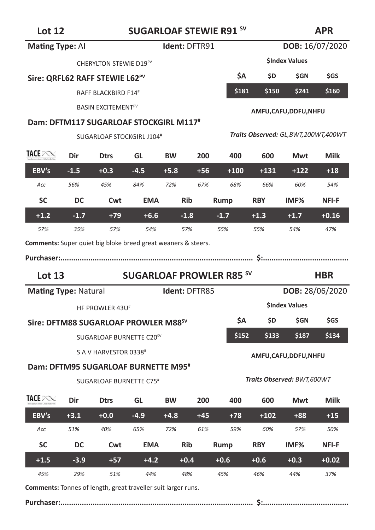# **Lot 12 SUGARLOAF STEWIE R91 SV**

# **APR**

| 느∪ ⊥∠                                                                |        | SUGARLOAF STEWIL R31<br>AF IV                    |            |               |       |                                 |            |                                        |                        |
|----------------------------------------------------------------------|--------|--------------------------------------------------|------------|---------------|-------|---------------------------------|------------|----------------------------------------|------------------------|
| <b>Mating Type: All</b>                                              |        |                                                  |            | Ident: DFTR91 |       |                                 |            |                                        | <b>DOB:</b> 16/07/2020 |
|                                                                      |        | CHERYLTON STEWIE D19 <sup>PV</sup>               |            |               |       |                                 |            | <b>SIndex Values</b>                   |                        |
|                                                                      |        | Sire: QRFL62 RAFF STEWIE L62 <sup>PV</sup>       |            |               |       | <b>ŚΑ</b>                       | \$D        | \$GN                                   | \$GS                   |
|                                                                      |        | RAFF BLACKBIRD F14#                              |            |               |       | \$181                           | \$150      | \$241                                  | \$160                  |
|                                                                      |        | <b>BASIN EXCITEMENT<sup>PV</sup></b>             |            |               |       |                                 |            | AMFU, CAFU, DDFU, NHFU                 |                        |
|                                                                      |        | Dam: DFTM117 SUGARLOAF STOCKGIRL M117#           |            |               |       |                                 |            |                                        |                        |
|                                                                      |        | SUGARLOAF STOCKGIRL J104#                        |            |               |       |                                 |            | Traits Observed: GL, BWT, 200WT, 400WT |                        |
| TACE POST                                                            | Dir    | <b>Dtrs</b>                                      | GL         | 600           | Mwt   | Milk                            |            |                                        |                        |
| EBV's                                                                | $-1.5$ | $+0.3$                                           | $-4.5$     | $+5.8$        | $+56$ | $+100$                          | $+131$     | $+122$                                 | $+18$                  |
| Acc                                                                  | 56%    | 45%                                              | 84%        | 72%           | 67%   | 68%                             | 66%        | 60%                                    | 54%                    |
| <b>SC</b>                                                            | DC     | Cwt                                              | <b>EMA</b> | Rib           |       | Rump                            | <b>RBY</b> | IMF%                                   | <b>NFI-F</b>           |
| $+1.2$                                                               | $-1.7$ | $+79$                                            | $+6.6$     | $-1.8$        |       | $-1.7$                          | $+1.3$     | $+1.7$                                 | $+0.16$                |
| 57%                                                                  | 35%    | 57%                                              | 54%        | 57%           |       | 55%                             | 55%        | 54%                                    | 47%                    |
| <b>Comments:</b> Super quiet big bloke breed great weaners & steers. |        |                                                  |            |               |       |                                 |            |                                        |                        |
|                                                                      |        |                                                  |            |               |       |                                 |            |                                        |                        |
|                                                                      |        |                                                  |            |               |       |                                 |            |                                        |                        |
| Lot $13$                                                             |        |                                                  |            |               |       | <b>SUGARLOAF PROWLER R85 SV</b> |            |                                        | <b>HBR</b>             |
| <b>Mating Type: Natural</b>                                          |        |                                                  |            | Ident: DFTR85 |       |                                 |            |                                        | DOB: 28/06/2020        |
|                                                                      |        | HF PROWLER 43U#                                  |            |               |       |                                 |            | <b>SIndex Values</b>                   |                        |
|                                                                      |        | Sire: DFTM88 SUGARLOAF PROWLER M88 <sup>sv</sup> |            |               |       | \$A                             | \$D        | \$GN                                   | <b>SGS</b>             |
|                                                                      |        | SUGARLOAF BURNETTE C20 <sup>SV</sup>             |            |               |       | \$152                           | \$133      | \$187                                  | \$134                  |
|                                                                      |        | S A V HARVESTOR 0338#                            |            |               |       |                                 |            | AMFU, CAFU, DDFU, NHFU                 |                        |
|                                                                      |        | Dam: DFTM95 SUGARLOAF BURNETTE M95 <sup>#</sup>  |            |               |       |                                 |            |                                        |                        |
|                                                                      |        | SUGARLOAF BURNETTE C75#                          |            |               |       |                                 |            | Traits Observed: BWT,600WT             |                        |
| TACE PORT                                                            | Dir    | <b>Dtrs</b>                                      | GL         | <b>BW</b>     | 200   | 400                             | 600        | Mwt                                    | <b>Milk</b>            |
| EBV's                                                                | $+3.1$ | $+0.0$                                           | $-4.9$     | $+4.8$        | $+45$ | $+78$                           | $+102$     | $+88$                                  | $+15$                  |
| Acc                                                                  | 51%    | 40%                                              | 65%        | 72%           | 61%   | 59%                             | 60%        | 57%                                    | 50%                    |
| <b>SC</b>                                                            | DC     | Cwt                                              | <b>EMA</b> | <b>Rib</b>    |       | Rump                            | <b>RBY</b> | IMF%                                   | <b>NFI-F</b>           |
| $+1.5$                                                               | $-3.9$ | $+57$                                            | $+4.2$     | $+0.4$        |       | $+0.6$                          | $+0.6$     | $+0.3$                                 | $+0.02$                |
| 45%                                                                  | 29%    | 51%                                              | 44%        | 48%           |       | 45%                             | 46%        | 44%                                    | 37%                    |

**Comments:** Tonnes of length, great traveller suit larger runs.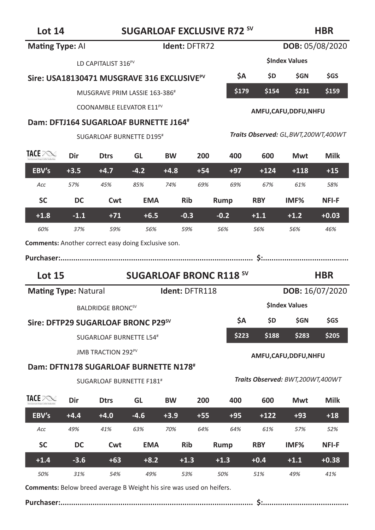### **HBR**

| Mating Type: Al                                     |        | Ident: DFTR72                                          |            |           |                |                                |                        | DOB: 05/08/2020                        |                 |  |
|-----------------------------------------------------|--------|--------------------------------------------------------|------------|-----------|----------------|--------------------------------|------------------------|----------------------------------------|-----------------|--|
|                                                     |        | LD CAPITALIST 316 <sup>PV</sup>                        |            |           |                |                                |                        | <b>SIndex Values</b>                   |                 |  |
|                                                     |        | Sire: USA18130471 MUSGRAVE 316 EXCLUSIVE <sup>PV</sup> |            |           |                | \$Α                            | \$D                    | \$GN                                   | \$GS            |  |
|                                                     |        | MUSGRAVE PRIM LASSIE 163-386#                          |            |           |                | \$179                          | \$154                  | \$231                                  | \$159           |  |
|                                                     |        | COONAMBLE ELEVATOR E11 <sup>PV</sup>                   |            |           |                |                                | AMFU, CAFU, DDFU, NHFU |                                        |                 |  |
|                                                     |        | Dam: DFTJ164 SUGARLOAF BURNETTE J164#                  |            |           |                |                                |                        |                                        |                 |  |
|                                                     |        | SUGARLOAF BURNETTE D195#                               |            |           |                |                                |                        | Traits Observed: GL, BWT, 200WT, 400WT |                 |  |
| TACE POST                                           | Dir    | <b>Dtrs</b>                                            | GL         | <b>BW</b> | 200            | 400                            | 600                    | Mwt                                    | Milk            |  |
| EBV's                                               | $+3.5$ | $+4.7$                                                 | $-4.2$     | $+4.8$    | $+54$          | $+97$                          | $+124$                 | $+118$                                 | $+15$           |  |
| Acc                                                 | 57%    | 45%                                                    | 85%        | 74%       | 69%            | 69%                            | 67%                    | 61%                                    | 58%             |  |
| <b>SC</b>                                           | DC     | Cwt                                                    | <b>EMA</b> |           | <b>Rib</b>     | Rump                           | <b>RBY</b>             | IMF%                                   | <b>NFI-F</b>    |  |
| $+1.8$                                              | $-1.1$ | $+71$                                                  | $+6.5$     |           | $-0.3$         | $-0.2$                         | $+1.1$                 | $+1.2$                                 | $+0.03$         |  |
| 60%                                                 | 37%    | 59%                                                    | 56%        |           | 59%            | 56%                            | 56%                    | 56%                                    | 46%             |  |
| Comments: Another correct easy doing Exclusive son. |        |                                                        |            |           |                |                                |                        |                                        |                 |  |
|                                                     |        |                                                        |            |           |                |                                |                        |                                        |                 |  |
| Purchaser:                                          |        |                                                        |            |           |                |                                |                        |                                        |                 |  |
| <b>Lot 15</b>                                       |        |                                                        |            |           |                | <b>SUGARLOAF BRONC R118 SV</b> |                        |                                        | <b>HBR</b>      |  |
| <b>Mating Type: Natural</b>                         |        |                                                        |            |           | Ident: DFTR118 |                                |                        |                                        | DOB: 16/07/2020 |  |
|                                                     |        | <b>BALDRIDGE BRONCSV</b>                               |            |           |                |                                |                        | <b>SIndex Values</b>                   |                 |  |
|                                                     |        | Sire: DFTP29 SUGARLOAF BRONC P29 <sup>sV</sup>         |            |           |                | ŚΑ                             | \$D                    | <b>SGN</b>                             | <b>SGS</b>      |  |
|                                                     |        | SUGARLOAF BURNETTE L54#                                |            |           |                | \$223                          | \$188                  | \$283                                  | \$205           |  |
|                                                     |        | <b>JMB TRACTION 292PV</b>                              |            |           |                |                                |                        | AMFU,CAFU,DDFU,NHFU                    |                 |  |
|                                                     |        | Dam: DFTN178 SUGARLOAF BURNETTE N178 <sup>#</sup>      |            |           |                |                                |                        |                                        |                 |  |
|                                                     |        | SUGARLOAF BURNETTE F181 <sup>#</sup>                   |            |           |                |                                |                        | Traits Observed: BWT,200WT,400WT       |                 |  |
| <b>TACE</b> PONE                                    | Dir    | <b>Dtrs</b>                                            | GL         | <b>BW</b> | 200            | 400                            | 600                    | Mwt                                    | Milk            |  |
| EBV's                                               | $+4.4$ | $+4.0$                                                 | $-4.6$     | $+3.9$    | $+55$          | $+95$                          | $+122$                 | $+93$                                  | $+18$           |  |
| Acc                                                 | 49%    | 41%                                                    | 63%        | 70%       | 64%            | 64%                            | 61%                    | 57%                                    | 52%             |  |
| <b>SC</b>                                           | DC     | Cwt                                                    | <b>EMA</b> |           | <b>Rib</b>     | Rump                           | <b>RBY</b>             | IMF%                                   | NFI-F           |  |
| $+1.4$<br>50%                                       | $-3.6$ | $+63$                                                  | $+8.2$     |           | $+1.3$         | $+1.3$                         | $+0.4$                 | $+1.1$                                 | $+0.38$         |  |

**Comments:** Below breed average B Weight his sire was used on heifers.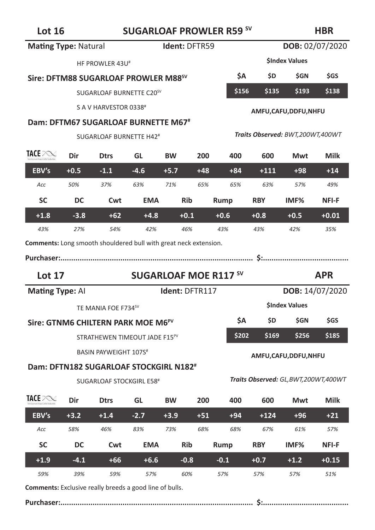# Lot 16 **SUGARLOAF PROWLER R59 SV**

### **HBR**

| <b>Mating Type: Natural</b>                                      |        |                                                    |            | Ident: DFTR59                |       |        |                     |                                        | DOB: 02/07/2020 |  |
|------------------------------------------------------------------|--------|----------------------------------------------------|------------|------------------------------|-------|--------|---------------------|----------------------------------------|-----------------|--|
|                                                                  |        | HF PROWLER 43U <sup>#</sup>                        |            |                              |       |        |                     | <b>SIndex Values</b>                   |                 |  |
|                                                                  |        | Sire: DFTM88 SUGARLOAF PROWLER M88 <sup>sv</sup>   |            |                              |       | ŚΑ     | \$D                 | \$GN                                   | \$GS            |  |
|                                                                  |        | SUGARLOAF BURNETTE C20 <sup>SV</sup>               |            |                              |       | \$156  | \$135               | \$193                                  | \$138           |  |
|                                                                  |        | S A V HARVESTOR 0338#                              |            |                              |       |        | AMFU,CAFU,DDFU,NHFU |                                        |                 |  |
|                                                                  |        | Dam: DFTM67 SUGARLOAF BURNETTE M67 <sup>#</sup>    |            |                              |       |        |                     |                                        |                 |  |
|                                                                  |        | SUGARLOAF BURNETTE H42 <sup>#</sup>                |            |                              |       |        |                     | Traits Observed: BWT,200WT,400WT       |                 |  |
| <b>TACE POST</b>                                                 | Dir    | <b>Dtrs</b>                                        | GL         | <b>BW</b>                    | 200   | 400    | 600                 | Mwt                                    | <b>Milk</b>     |  |
| EBV's                                                            | $+0.5$ | $-1.1$                                             | $-4.6$     | $+5.7$                       | $+48$ | $+84$  | $+111$              | $+98$                                  | $+14$           |  |
| Acc                                                              | 50%    | 37%                                                | 63%        | 71%                          | 65%   | 65%    | 63%                 | 57%                                    | 49%             |  |
| <b>SC</b>                                                        | DC     | Cwt                                                | <b>EMA</b> | <b>Rib</b>                   |       | Rump   | <b>RBY</b>          | IMF <sub>%</sub>                       | NFI-F           |  |
| $+1.8$                                                           | $-3.8$ | $+62$                                              | $+4.8$     | $+0.1$                       |       | $+0.6$ | $+0.8$              | $+0.5$                                 | $+0.01$         |  |
| 43%                                                              | 27%    | 54%                                                | 42%        | 46%                          |       | 43%    | 43%                 | 42%                                    | 35%             |  |
| Comments: Long smooth shouldered bull with great neck extension. |        |                                                    |            |                              |       |        |                     |                                        |                 |  |
|                                                                  |        |                                                    |            |                              |       |        |                     |                                        |                 |  |
|                                                                  |        |                                                    |            |                              |       |        |                     |                                        |                 |  |
| <b>Lot 17</b>                                                    |        |                                                    |            | <b>SUGARLOAF MOE R117 SV</b> |       |        |                     |                                        | <b>APR</b>      |  |
| <b>Mating Type: All</b>                                          |        |                                                    |            | Ident: DFTR117               |       |        |                     |                                        | DOB: 14/07/2020 |  |
|                                                                  |        | TE MANIA FOE F734SV                                |            |                              |       |        |                     | <b>SIndex Values</b>                   |                 |  |
|                                                                  |        | Sire: GTNM6 CHILTERN PARK MOE M6 <sup>PV</sup>     |            |                              |       | ŚА     | <b>SD</b>           | <b>SGN</b>                             | \$GS            |  |
|                                                                  |        | STRATHEWEN TIMEOUT JADE F15 <sup>PV</sup>          |            |                              |       | \$202  | \$169               | \$256                                  | \$185           |  |
|                                                                  |        | <b>BASIN PAYWEIGHT 107S</b> #                      |            |                              |       |        |                     | AMFU, CAFU, DDFU, NHFU                 |                 |  |
|                                                                  |        | Dam: DFTN182 SUGARLOAF STOCKGIRL N182 <sup>#</sup> |            |                              |       |        |                     |                                        |                 |  |
|                                                                  |        | <b>SUGARLOAF STOCKGIRL E58#</b>                    |            |                              |       |        |                     | Traits Observed: GL, BWT, 200WT, 400WT |                 |  |
| TACE POST                                                        | Dir    | <b>Dtrs</b>                                        | GL         | <b>BW</b>                    | 200   | 400    | 600                 | Mwt                                    | <b>Milk</b>     |  |
| EBV's                                                            | $+3.2$ | $+1.4$                                             | $-2.7$     | $+3.9$                       | $+51$ | $+94$  | $+124$              | $+96$                                  | $+21$           |  |
| Acc                                                              | 58%    | 46%                                                | 83%        | 73%                          | 68%   | 68%    | 67%                 | 61%                                    | 57%             |  |
| <b>SC</b>                                                        | DC     | Cwt                                                | <b>EMA</b> | Rib                          |       | Rump   | <b>RBY</b>          | IMF%                                   | NFI-F           |  |
| $+1.9$                                                           | $-4.1$ | $+66$                                              | $+6.6$     | $-0.8$                       |       | $-0.1$ | $+0.7$              | $+1.2$                                 | $+0.15$         |  |

**Comments:** Exclusive really breeds a good line of bulls.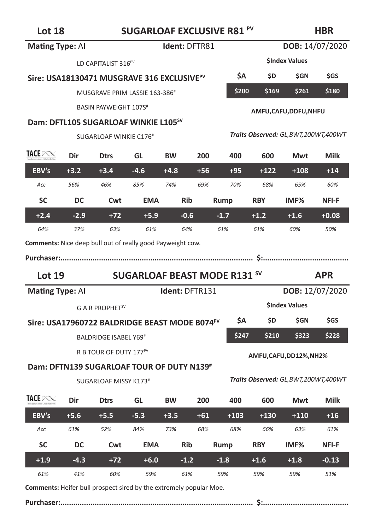| <b>Mating Type: Al</b>                                     |                                     |                                                           |            | Ident: DFTR81  |       |        |            | DOB: 14/07/2020                        |                 |  |  |
|------------------------------------------------------------|-------------------------------------|-----------------------------------------------------------|------------|----------------|-------|--------|------------|----------------------------------------|-----------------|--|--|
|                                                            |                                     | LD CAPITALIST 316 <sup>PV</sup>                           |            |                |       |        |            | <b>SIndex Values</b>                   |                 |  |  |
|                                                            |                                     | Sire: USA18130471 MUSGRAVE 316 EXCLUSIVE <sup>PV</sup>    |            |                |       | ŚΑ     | \$D        | \$GN                                   | \$GS            |  |  |
|                                                            |                                     | MUSGRAVE PRIM LASSIE 163-386#                             |            |                |       | \$200  | \$169      | \$261                                  | \$180           |  |  |
|                                                            |                                     | <b>BASIN PAYWEIGHT 107S#</b>                              |            |                |       |        |            | AMFU, CAFU, DDFU, NHFU                 |                 |  |  |
|                                                            |                                     | Dam: DFTL105 SUGARLOAF WINKIE L105 <sup>sV</sup>          |            |                |       |        |            |                                        |                 |  |  |
|                                                            |                                     | SUGARLOAF WINKIE C176 <sup>#</sup>                        |            |                |       |        |            | Traits Observed: GL, BWT, 200WT, 400WT |                 |  |  |
| TACE POST                                                  | Dir                                 | <b>Dtrs</b>                                               | GL         | <b>BW</b>      | 200   | 400    | 600        | Mwt                                    | Milk            |  |  |
| EBV's                                                      | $+3.2$                              | $+3.4$                                                    | $-4.6$     | $+4.8$         | $+56$ | $+95$  | $+122$     | $+108$                                 | $+14$           |  |  |
| Acc                                                        | 56%                                 | 46%                                                       | 85%        | 74%            | 69%   | 70%    | 68%        | 65%                                    | 60%             |  |  |
| <b>SC</b>                                                  | DC                                  | Cwt                                                       | <b>EMA</b> | <b>Rib</b>     |       | Rump   | <b>RBY</b> | IMF <sub>%</sub>                       | NFI-F           |  |  |
| $+2.4$                                                     | $-2.9$                              | $+72$                                                     | $+5.9$     | $-0.6$         |       | $-1.7$ | $+1.2$     | $+1.6$                                 | $+0.08$         |  |  |
| 64%                                                        | 37%                                 | 63%                                                       | 61%        | 64%            |       | 61%    | 61%        | 60%                                    | 50%             |  |  |
| Comments: Nice deep bull out of really good Payweight cow. |                                     |                                                           |            |                |       |        |            |                                        |                 |  |  |
|                                                            |                                     |                                                           |            |                |       |        |            |                                        |                 |  |  |
|                                                            | <b>SUGARLOAF BEAST MODE R131 SV</b> |                                                           |            |                |       |        |            |                                        |                 |  |  |
| Lot $19$                                                   |                                     |                                                           |            |                |       |        |            |                                        | <b>APR</b>      |  |  |
| <b>Mating Type: Al</b>                                     |                                     |                                                           |            | Ident: DFTR131 |       |        |            |                                        | DOB: 12/07/2020 |  |  |
|                                                            |                                     | G A R PROPHET <sup>SV</sup>                               |            |                |       |        |            | <b>SIndex Values</b>                   |                 |  |  |
|                                                            |                                     | Sire: USA17960722 BALDRIDGE BEAST MODE B074 <sup>PV</sup> |            |                |       | \$Α    | \$D        | \$GN                                   | \$GS            |  |  |
|                                                            |                                     | BALDRIDGE ISABEL Y69 <sup>#</sup>                         |            |                |       | \$247  | \$210      | \$323                                  | \$228           |  |  |
|                                                            |                                     | R B TOUR OF DUTY 177 <sup>PV</sup>                        |            |                |       |        |            | AMFU,CAFU,DD12%,NH2%                   |                 |  |  |
|                                                            |                                     | Dam: DFTN139 SUGARLOAF TOUR OF DUTY N139#                 |            |                |       |        |            |                                        |                 |  |  |
|                                                            |                                     | SUGARLOAF MISSY K173#                                     |            |                |       |        |            | Traits Observed: GL,BWT,200WT,400WT    |                 |  |  |
| TACE POST                                                  | Dir                                 | <b>Dtrs</b>                                               | GL         | <b>BW</b>      | 200   | 400    | 600        | Mwt                                    | Milk            |  |  |
| EBV's                                                      | $+5.6$                              | $+5.5$                                                    | $-5.3$     | $+3.5$         | $+61$ | $+103$ | $+130$     | $+110$                                 | $+16$           |  |  |
| Acc                                                        | 61%                                 | 52%                                                       | 84%        | 73%            | 68%   | 68%    | 66%        | 63%                                    | 61%             |  |  |
| <b>SC</b>                                                  | DC                                  | Cwt                                                       | <b>EMA</b> | <b>Rib</b>     |       | Rump   | <b>RBY</b> | IMF <sub>%</sub>                       | NFI-F           |  |  |
| $+1.9$                                                     | $-4.3$                              | $+72$                                                     | $+6.0$     | $-1.2$         |       | $-1.8$ | $+1.6$     | $+1.8$                                 | $-0.13$         |  |  |

**Comments:** Heifer bull prospect sired by the extremely popular Moe.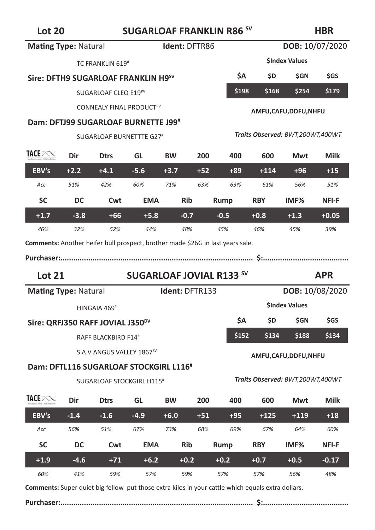# **Lot 20 SUGARLOAF FRANKLIN R86 SV**

#### **HBR**

| <b>Mating Type: Natural</b> |        |                                                                                |                                 | Ident: DFTR86  |       |        |            | DOB: 10/07/2020                  |              |
|-----------------------------|--------|--------------------------------------------------------------------------------|---------------------------------|----------------|-------|--------|------------|----------------------------------|--------------|
|                             |        | TC FRANKLIN 619#                                                               |                                 |                |       |        |            | <b>SIndex Values</b>             |              |
|                             |        | Sire: DFTH9 SUGARLOAF FRANKLIN H9 <sup>sV</sup>                                |                                 |                |       | ŚΑ     | \$D        | \$GN                             | \$GS         |
|                             |        | SUGARLOAF CLEO E19PV                                                           |                                 |                |       | \$198  | \$168      | \$254                            | \$179        |
|                             |        | CONNEALY FINAL PRODUCT <sup>PV</sup>                                           |                                 |                |       |        |            | AMFU, CAFU, DDFU, NHFU           |              |
|                             |        | Dam: DFTJ99 SUGARLOAF BURNETTE J99#                                            |                                 |                |       |        |            |                                  |              |
|                             |        | SUGARLOAF BURNETTTE G27#                                                       |                                 |                |       |        |            | Traits Observed: BWT,200WT,400WT |              |
| TACE POND                   | Dir    | <b>Dtrs</b>                                                                    | GL                              | <b>BW</b>      | 200   | 400    | 600        | Mwt                              | <b>Milk</b>  |
| EBV's                       | $+2.2$ | $+4.1$                                                                         | $-5.6$                          | $+3.7$         | $+52$ | $+89$  | $+114$     | $+96$                            | $+15$        |
| Acc                         | 51%    | 42%                                                                            | 60%                             | 71%            | 63%   | 63%    | 61%        | 56%                              | 51%          |
| <b>SC</b>                   | DC     | Cwt                                                                            | <b>EMA</b>                      | <b>Rib</b>     |       | Rump   | <b>RBY</b> | IMF <sub>%</sub>                 | NFI-F        |
| $+1.7$                      | $-3.8$ | $+66$                                                                          | $+5.8$                          | $-0.7$         |       | $-0.5$ | $+0.8$     | $+1.3$                           | $+0.05$      |
| 46%                         | 32%    | 52%                                                                            | 44%                             | 48%            |       | 45%    | 46%        | 45%                              | 39%          |
|                             |        | Comments: Another heifer bull prospect, brother made \$26G in last years sale. |                                 |                |       |        |            |                                  |              |
| <b>Lot 21</b>               |        |                                                                                | <b>SUGARLOAF JOVIAL R133 SV</b> |                |       |        |            |                                  | <b>APR</b>   |
| <b>Mating Type: Natural</b> |        |                                                                                |                                 | Ident: DFTR133 |       |        |            | DOB: 10/08/2020                  |              |
|                             |        | HINGAIA 469#                                                                   |                                 |                |       |        |            | <b>SIndex Values</b>             |              |
|                             |        | Sire: QRFJ350 RAFF JOVIAL J350 <sup>DV</sup>                                   |                                 |                |       | ŚΑ     | <b>SD</b>  | <b>SGN</b>                       | <b>SGS</b>   |
|                             |        | RAFF BLACKBIRD F14#                                                            |                                 |                |       | \$152  | \$134      | \$188                            | \$134        |
|                             |        | S A V ANGUS VALLEY 1867 <sup>sV</sup>                                          |                                 |                |       |        |            | AMFU, CAFU, DDFU, NHFU           |              |
|                             |        | Dam: DFTL116 SUGARLOAF STOCKGIRL L116 <sup>#</sup>                             |                                 |                |       |        |            |                                  |              |
|                             |        | <b>SUGARLOAF STOCKGIRL H115#</b>                                               |                                 |                |       |        |            | Traits Observed: BWT,200WT,400WT |              |
| TACE POST                   | Dir    | <b>Dtrs</b>                                                                    | GL                              | <b>BW</b>      | 200   | 400    | 600        | Mwt                              | <b>Milk</b>  |
| EBV's                       | $-1.4$ | $-1.6$                                                                         | $-4.9$                          | $+6.0$         | $+51$ | $+95$  | $+125$     | $+119$                           | $+18$        |
| Acc                         | 56%    | 51%                                                                            | 67%                             | 73%            | 68%   | 69%    | 67%        | 64%                              | 60%          |
| <b>SC</b>                   | DC     | Cwt                                                                            | <b>EMA</b>                      | <b>Rib</b>     |       | Rump   | <b>RBY</b> | IMF%                             | <b>NFI-F</b> |
| $+1.9$                      | $-4.6$ | $+71$                                                                          | $+6.2$                          | $+0.2$         |       | $+0.2$ | $+0.7$     | $+0.5$                           | $-0.17$      |

**Comments:** Super quiet big fellow put those extra kilos in your cattle which equals extra dollars.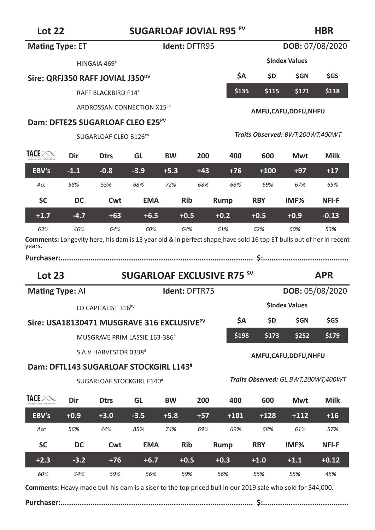# **Lot 22 SUGARLOAF JOVIAL R95 PV**

# **HBR**

|                                                                                                                               | LOT ZZ<br>SUGAKLUAF JUVIAL KYS |                                                        |            |                      |       |                                   |            | прк                                 |                 |  |
|-------------------------------------------------------------------------------------------------------------------------------|--------------------------------|--------------------------------------------------------|------------|----------------------|-------|-----------------------------------|------------|-------------------------------------|-----------------|--|
| <b>Mating Type: ET</b>                                                                                                        |                                |                                                        |            | <b>Ident: DFTR95</b> |       |                                   |            |                                     | DOB: 07/08/2020 |  |
|                                                                                                                               |                                | HINGAIA 469 <sup>#</sup>                               |            |                      |       |                                   |            | <b>SIndex Values</b>                |                 |  |
|                                                                                                                               |                                | Sire: QRFJ350 RAFF JOVIAL J350 <sup>DV</sup>           |            |                      |       | ŚΑ                                | \$D        | \$GN                                | \$GS            |  |
|                                                                                                                               |                                | RAFF BLACKBIRD F14#                                    |            |                      |       | \$135                             | \$115      | \$171                               | \$118           |  |
|                                                                                                                               |                                | ARDROSSAN CONNECTION X15 <sup>SV</sup>                 |            |                      |       |                                   |            | AMFU,CAFU,DDFU,NHFU                 |                 |  |
|                                                                                                                               |                                | Dam: DFTE25 SUGARLOAF CLEO E25 <sup>PV</sup>           |            |                      |       |                                   |            |                                     |                 |  |
|                                                                                                                               |                                | SUGARLOAF CLEO B126 <sup>PV</sup>                      |            |                      |       |                                   |            | Traits Observed: BWT,200WT,400WT    |                 |  |
| TACE PORT                                                                                                                     | Dir                            | <b>Dtrs</b>                                            | GL         | ВW                   | 200   | 400                               | 600        | Mwt                                 | <b>Milk</b>     |  |
| EBV's                                                                                                                         | $-1.1$                         | $-0.8$                                                 | $-3.9$     | $+5.3$               | $+43$ | $+76$                             | $+100$     | $+97$                               | $+17$           |  |
| Acc                                                                                                                           | 58%                            | 55%                                                    | 68%        | 72%                  | 68%   | 68%                               | 69%        | 67%                                 | 65%             |  |
| SC                                                                                                                            | DC                             | Cwt                                                    | <b>EMA</b> | <b>Rib</b>           |       | Rump                              | <b>RBY</b> | IMF <sub>%</sub>                    | <b>NFI-F</b>    |  |
| $+1.7$                                                                                                                        | $-4.7$                         | $+63$                                                  | $+6.5$     | $+0.5$               |       | $+0.2$                            | $+0.5$     | $+0.9$                              | $-0.13$         |  |
| 63%                                                                                                                           | 46%                            | 64%                                                    | 60%        | 64%                  |       | 61%                               | 62%        | 60%                                 | 53%             |  |
| Comments: Longevity here, his dam is 13 year old & in perfect shape, have sold 16 top ET bulls out of her in recent<br>years. |                                |                                                        |            |                      |       |                                   |            |                                     |                 |  |
|                                                                                                                               |                                |                                                        |            |                      |       |                                   |            |                                     |                 |  |
| Lot $23$                                                                                                                      |                                |                                                        |            |                      |       | <b>SUGARLOAF EXCLUSIVE R75 SV</b> |            |                                     | <b>APR</b>      |  |
| <b>Mating Type: All</b>                                                                                                       |                                |                                                        |            | Ident: DFTR75        |       |                                   |            |                                     | DOB: 05/08/2020 |  |
|                                                                                                                               |                                | LD CAPITALIST 316 <sup>PV</sup>                        |            |                      |       |                                   |            | <b>SIndex Values</b>                |                 |  |
|                                                                                                                               |                                | Sire: USA18130471 MUSGRAVE 316 EXCLUSIVE <sup>PV</sup> |            |                      |       | ŚΑ                                | \$D        | <b>SGN</b>                          | <b>SGS</b>      |  |
|                                                                                                                               |                                | MUSGRAVE PRIM LASSIE 163-386#                          |            |                      |       | \$198                             | \$173      | \$252                               | \$179           |  |
|                                                                                                                               |                                | S A V HARVESTOR 0338 <sup>#</sup>                      |            |                      |       |                                   |            | AMFU,CAFU,DDFU,NHFU                 |                 |  |
|                                                                                                                               |                                | Dam: DFTL143 SUGARLOAF STOCKGIRL L143 <sup>#</sup>     |            |                      |       |                                   |            |                                     |                 |  |
|                                                                                                                               |                                | SUGARLOAF STOCKGIRL F140 <sup>#</sup>                  |            |                      |       |                                   |            | Traits Observed: GL,BWT,200WT,400WT |                 |  |
| TACE PORT                                                                                                                     | Dir                            | <b>D</b> trs                                           | GL         | BW                   | 200   | 400                               | 600        | Mwt                                 | <b>Milk</b>     |  |
| EBV's                                                                                                                         | $+0.9$                         | $+3.0$                                                 | $-3.5$     | $+5.8$               | $+57$ | $+101$                            | $+128$     | $+112$                              | $+16$           |  |
| Acc                                                                                                                           | 56%                            | 44%                                                    | 85%        | 74%                  | 69%   | 69%                               | 68%        | 61%                                 | 57%             |  |
| SC                                                                                                                            | DC                             | Cwt                                                    | <b>EMA</b> | <b>Rib</b>           |       | Rump                              | <b>RBY</b> | IMF <sub>%</sub>                    | NFI-F           |  |
| $+2.3$                                                                                                                        | $-3.2$                         | $+76$                                                  | $+6.7$     | $+0.5$               |       | $+0.3$                            | $+1.0$     | $+1.1$                              | $+0.12$         |  |

**Comments:** Heavy made bull his dam is a siser to the top priced bull in our 2019 sale who sold for \$44,000.

*60% 34% 59% 56% 59% 56% 55% 55% 45%*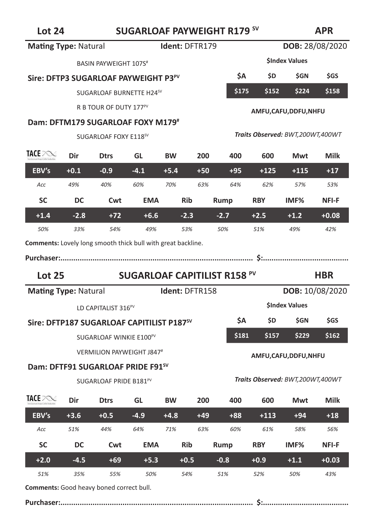# Lot 24 **SUGARLOAF PAYWEIGHT R179 <sup>SV</sup> Mating Type: Natural 1dent: DFTR179 <b>DOB:** 28/08/2020

**APR**

|                                                                     |        | BASIN PAYWEIGHT 107S <sup>#</sup>                     |                                     |           |                |                                     |                     | <b>SIndex Values</b>             |            |  |  |
|---------------------------------------------------------------------|--------|-------------------------------------------------------|-------------------------------------|-----------|----------------|-------------------------------------|---------------------|----------------------------------|------------|--|--|
|                                                                     |        | Sire: DFTP3 SUGARLOAF PAYWEIGHT P3 <sup>PV</sup>      |                                     |           |                | \$Α                                 | \$D.                | <b>SGN</b>                       | \$GS       |  |  |
|                                                                     |        | SUGARLOAF BURNETTE H24SV                              |                                     |           |                | \$175                               | \$152               | \$224                            | \$158      |  |  |
|                                                                     |        | R B TOUR OF DUTY 177 <sup>PV</sup>                    |                                     |           |                |                                     |                     |                                  |            |  |  |
|                                                                     |        | Dam: DFTM179 SUGARLOAF FOXY M179#                     |                                     |           |                |                                     | AMFU,CAFU,DDFU,NHFU |                                  |            |  |  |
|                                                                     |        | SUGARLOAF FOXY E118SV                                 |                                     |           |                |                                     |                     | Traits Observed: BWT,200WT,400WT |            |  |  |
| TACE POST                                                           | Dir    | <b>Dtrs</b>                                           | GL                                  | <b>BW</b> | 200            | 400                                 | 600                 | Mwt                              | Milk       |  |  |
| EBV's                                                               | $+0.1$ | $-0.9$                                                | $-4.1$                              | $+5.4$    | $+50$          | $+95$                               | $+125$              | $+115$                           | $+17$      |  |  |
| Acc                                                                 | 49%    | 40%                                                   | 60%                                 | 70%       | 63%            | 64%                                 | 62%                 | 57%                              | 53%        |  |  |
| <b>SC</b>                                                           | DC     | Cwt                                                   | <b>EMA</b>                          |           | <b>Rib</b>     | Rump                                | <b>RBY</b>          | IMF%                             | NFI-F      |  |  |
| $+1.4$                                                              | $-2.8$ | $+72$                                                 | $+6.6$                              |           | $-2.3$         | $-2.7$                              | $+2.5$              | $+1.2$                           | $+0.08$    |  |  |
| 50%                                                                 | 33%    | 54%                                                   | 49%                                 |           | 53%            | 50%                                 | 51%                 | 49%                              | 42%        |  |  |
| <b>Comments:</b> Lovely long smooth thick bull with great backline. |        |                                                       |                                     |           |                |                                     |                     |                                  |            |  |  |
|                                                                     |        |                                                       |                                     |           |                |                                     |                     |                                  |            |  |  |
| <b>Lot 25</b>                                                       |        |                                                       |                                     |           |                | <b>SUGARLOAF CAPITILIST R158 PV</b> |                     |                                  | <b>HBR</b> |  |  |
| <b>Mating Type: Natural</b>                                         |        |                                                       |                                     |           | Ident: DFTR158 |                                     |                     | <b>DOB: 10/08/2020</b>           |            |  |  |
|                                                                     |        | LD CAPITALIST 316 <sup>PV</sup>                       |                                     |           |                |                                     |                     | <b>SIndex Values</b>             |            |  |  |
|                                                                     |        | Sire: DFTP187 SUGARLOAF CAPITILIST P187 <sup>SV</sup> |                                     |           |                | \$Α                                 | \$D.                | <b>SGN</b>                       | <b>SGS</b> |  |  |
|                                                                     |        |                                                       |                                     |           |                |                                     |                     |                                  |            |  |  |
|                                                                     |        |                                                       | SUGARLOAF WINKIE E100 <sup>PV</sup> |           |                | \$181                               | \$157               | \$229                            | \$162      |  |  |
|                                                                     |        | VERMILION PAYWEIGHT J847#                             |                                     |           |                |                                     |                     |                                  |            |  |  |
|                                                                     |        | Dam: DFTF91 SUGARLOAF PRIDE F91 <sup>SV</sup>         |                                     |           |                |                                     |                     | AMFU,CAFU,DDFU,NHFU              |            |  |  |
|                                                                     |        | SUGARLOAF PRIDE B181PV                                |                                     |           |                |                                     |                     | Traits Observed: BWT,200WT,400WT |            |  |  |
| <b>TACE</b> PONE                                                    | Dir    | <b>Dtrs</b>                                           | GL                                  | <b>BW</b> | 200            | 400                                 | 600                 | Mwt                              | Milk       |  |  |
| EBV's                                                               | $+3.6$ | $+0.5$                                                | $-4.9$                              | $+4.8$    | $+49$          | $+88$                               | $+113$              | $+94$                            | $+18$      |  |  |

| 51%                                             | 35% | 55% | 50% | 54% | 51% | 52% | 50% | 43% |
|-------------------------------------------------|-----|-----|-----|-----|-----|-----|-----|-----|
| <b>Comments:</b> Good heavy boned correct bull. |     |     |     |     |     |     |     |     |

### **Purchaser:.......................................................................................... \$:........................................**

**SC DC Cwt EMA Rib Rump RBY IMF% NFI-F +2.0 -4.5 +69 +5.3 +0.5 -0.8 +0.9 +1.1 +0.03**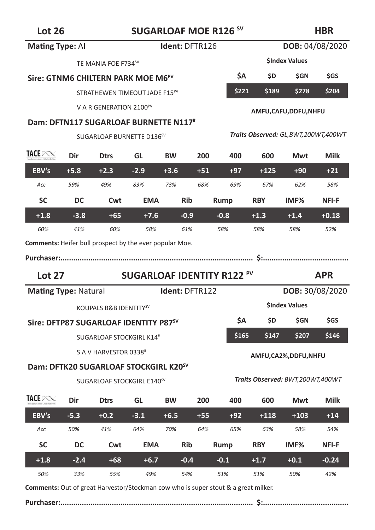# Lot 26 **SUGARLOAF MOE R126<sup>SV</sup>**

### **HBR**

| <b>Mating Type: Al</b>      |        |                                                   |            | Ident: DFTR126 |       |                                   |                                        | DOB: 04/08/2020      |                        |
|-----------------------------|--------|---------------------------------------------------|------------|----------------|-------|-----------------------------------|----------------------------------------|----------------------|------------------------|
|                             |        | TE MANIA FOE F734 <sup>SV</sup>                   |            |                |       |                                   |                                        | <b>SIndex Values</b> |                        |
|                             |        | Sire: GTNM6 CHILTERN PARK MOE M6 <sup>PV</sup>    |            |                |       | ŚА                                | \$D.                                   | \$GN                 | \$GS                   |
|                             |        | STRATHEWEN TIMEOUT JADE F15 <sup>PV</sup>         |            |                |       | \$221                             | \$189                                  | \$278                | \$204                  |
|                             |        | V A R GENERATION 2100 <sup>PV</sup>               |            |                |       |                                   |                                        | AMFU,CAFU,DDFU,NHFU  |                        |
|                             |        | Dam: DFTN117 SUGARLOAF BURNETTE N117#             |            |                |       |                                   |                                        |                      |                        |
|                             |        | SUGARLOAF BURNETTE D136 <sup>sV</sup>             |            |                |       |                                   | Traits Observed: GL, BWT, 200WT, 400WT |                      |                        |
| TACE POST                   | Dir    | <b>Dtrs</b>                                       | GL         | <b>BW</b>      | 200   | 400                               | 600                                    | Mwt                  | Milk                   |
| EBV's                       | $+5.8$ | $+2.3$                                            | $-2.9$     | $+3.6$         | $+51$ | $+97$                             | $+125$                                 | $+90$                | $+21$                  |
| Acc                         | 59%    | 49%                                               | 83%        | 73%            | 68%   | 69%                               | 67%                                    | 62%                  | 58%                    |
| <b>SC</b>                   | DC     | Cwt                                               | <b>EMA</b> | <b>Rib</b>     |       | Rump                              | <b>RBY</b>                             | IMF <sub>%</sub>     | <b>NFI-F</b>           |
| $+1.8$                      | $-3.8$ | $+65$                                             | $+7.6$     | $-0.9$         |       | $-0.8$                            | $+1.3$                                 | $+1.4$               | $+0.18$                |
| 60%                         | 41%    | 60%                                               | 58%        | 61%            |       | 58%                               | 58%                                    | 58%                  | 52%                    |
|                             |        |                                                   |            |                |       |                                   |                                        |                      |                        |
| <b>Lot 27</b>               |        |                                                   |            |                |       | <b>SUGARLOAF IDENTITY R122 PV</b> |                                        |                      | <b>APR</b>             |
| <b>Mating Type: Natural</b> |        |                                                   |            | Ident: DFTR122 |       |                                   |                                        |                      | <b>DOB: 30/08/2020</b> |
|                             |        | KOUPALS B&B IDENTITYSV                            |            |                |       |                                   |                                        | <b>SIndex Values</b> |                        |
|                             |        | Sire: DFTP87 SUGARLOAF IDENTITY P87 <sup>SV</sup> |            |                |       | ŚА                                | <b>SD</b>                              | <b>SGN</b>           | <b>SGS</b>             |
|                             |        | SUGARLOAF STOCKGIRL K14#                          |            |                |       | \$165                             | \$147                                  | \$207                | \$146                  |
|                             |        | S A V HARVESTOR 0338 <sup>#</sup>                 |            |                |       |                                   |                                        |                      |                        |
|                             |        | Dam: DFTK20 SUGARLOAF STOCKGIRL K20 <sup>sv</sup> |            |                |       |                                   |                                        | AMFU,CA2%,DDFU,NHFU  |                        |
|                             |        | SUGARLOAF STOCKGIRL E140 <sup>SV</sup>            |            |                |       |                                   | Traits Observed: BWT,200WT,400WT       |                      |                        |
| TACE POST                   | Dir    | <b>Dtrs</b>                                       | GL         | <b>BW</b>      | 200   | 400                               | 600                                    | Mwt                  | Milk                   |
| EBV's                       | $-5.3$ | $+0.2$                                            | $-3.1$     | $+6.5$         | $+55$ | $+92$                             | $+118$                                 | $+103$               | $+14$                  |
| Acc                         | 50%    | 41%                                               | 64%        | 70%            | 64%   | 65%                               | 63%                                    | 58%                  | 54%                    |
| <b>SC</b>                   | DC     | Cwt                                               | <b>EMA</b> | <b>Rib</b>     |       | Rump                              | <b>RBY</b>                             | IMF%                 | <b>NFI-F</b>           |
| $+1.8$                      | $-2.4$ | $+68$                                             | $+6.7$     | $-0.4$         |       | $-0.1$                            | $+1.7$                                 | $+0.1$               | $-0.24$                |

**Comments:** Out of great Harvestor/Stockman cow who is super stout & a great milker.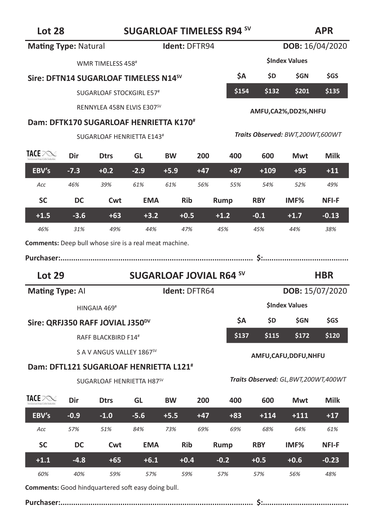# **Lot 28 SUGARLOAF TIMELESS R94 SV**

### **APR**

| <b>Mating Type: Natural</b>                                   |        |                                                    |            | Ident: DFTR94                  |       |        |                                        |                      | DOB: 16/04/2020 |
|---------------------------------------------------------------|--------|----------------------------------------------------|------------|--------------------------------|-------|--------|----------------------------------------|----------------------|-----------------|
|                                                               |        | WMR TIMELESS 458#                                  |            |                                |       |        |                                        | <b>SIndex Values</b> |                 |
|                                                               |        | Sire: DFTN14 SUGARLOAF TIMELESS N14 <sup>SV</sup>  |            |                                |       | ŚΑ     | ŚD.                                    | \$GN                 | \$GS            |
|                                                               |        | SUGARLOAF STOCKGIRL E57#                           |            |                                |       | \$154  | \$132                                  | \$201                | \$135           |
|                                                               |        | RENNYLEA 458N ELVIS E307SV                         |            |                                |       |        |                                        | AMFU,CA2%,DD2%,NHFU  |                 |
|                                                               |        | Dam: DFTK170 SUGARLOAF HENRIETTA K170#             |            |                                |       |        |                                        |                      |                 |
|                                                               |        | SUGARLOAF HENRIETTA E143 <sup>#</sup>              |            |                                |       |        | Traits Observed: BWT,200WT,600WT       |                      |                 |
| TACE PORT                                                     | Dir    | <b>Dtrs</b>                                        | GL         | <b>BW</b>                      | 200   | 400    | 600                                    | Mwt                  | Milk            |
| EBV's                                                         | $-7.3$ | $+0.2$                                             | $-2.9$     | $+5.9$                         | $+47$ | $+87$  | $+109$                                 | $+95$                | $+11$           |
| Acc                                                           | 46%    | 39%                                                | 61%        | 61%                            | 56%   | 55%    | 54%                                    | 52%                  | 49%             |
| <b>SC</b>                                                     | DC     | Cwt                                                | <b>EMA</b> | <b>Rib</b>                     |       | Rump   | <b>RBY</b>                             | IMF%                 | NFI-F           |
| $+1.5$                                                        | $-3.6$ | $+63$                                              | $+3.2$     | $+0.5$                         |       | $+1.2$ | $-0.1$                                 | $+1.7$               | $-0.13$         |
| 46%                                                           | 31%    | 49%                                                | 44%        | 47%                            |       | 45%    | 45%                                    | 44%                  | 38%             |
| <b>Comments:</b> Deep bull whose sire is a real meat machine. |        |                                                    |            |                                |       |        |                                        |                      |                 |
|                                                               |        |                                                    |            |                                |       |        |                                        |                      |                 |
| <b>Lot 29</b>                                                 |        |                                                    |            | <b>SUGARLOAF JOVIAL R64 SV</b> |       |        |                                        |                      |                 |
|                                                               |        |                                                    |            |                                |       |        |                                        |                      | <b>HBR</b>      |
| <b>Mating Type: Al</b>                                        |        |                                                    |            | Ident: DFTR64                  |       |        |                                        |                      | DOB: 15/07/2020 |
|                                                               |        | HINGAIA 469#                                       |            |                                |       |        |                                        | <b>SIndex Values</b> |                 |
|                                                               |        | Sire: QRFJ350 RAFF JOVIAL J350 <sup>DV</sup>       |            |                                |       | \$Α    | \$D.                                   | \$GN                 | \$GS            |
|                                                               |        | RAFF BLACKBIRD F14#                                |            |                                |       | \$137  | \$115                                  | \$172                | \$120           |
|                                                               |        | S A V ANGUS VALLEY 1867 <sup>sv</sup>              |            |                                |       |        |                                        |                      |                 |
|                                                               |        | Dam: DFTL121 SUGARLOAF HENRIETTA L121 <sup>#</sup> |            |                                |       |        |                                        | AMFU,CAFU,DDFU,NHFU  |                 |
|                                                               |        | SUGARLOAF HENRIETTA H87SV                          |            |                                |       |        | Traits Observed: GL, BWT, 200WT, 400WT |                      |                 |
| TACE POST                                                     | Dir    | <b>Dtrs</b>                                        | GL         | <b>BW</b>                      | 200   | 400    | 600                                    | Mwt                  | Milk            |
| EBV's                                                         | $-0.9$ | $-1.0$                                             | $-5.6$     | $+5.5$                         | $+47$ | $+83$  | $+114$                                 | +111                 | $+17$           |
| Acc                                                           | 57%    | 51%                                                | 84%        | 73%                            | 69%   | 69%    | 68%                                    | 64%                  | 61%             |
| <b>SC</b>                                                     | DC     | Cwt                                                | <b>EMA</b> | <b>Rib</b>                     |       | Rump   | <b>RBY</b>                             | IMF%                 | <b>NFI-F</b>    |
| $+1.1$                                                        | -4.8   | $+65$                                              | $+6.1$     | $+0.4$                         |       | $-0.2$ | $+0.5$                                 | $+0.6$               | $-0.23$         |

**Comments:** Good hindquartered soft easy doing bull.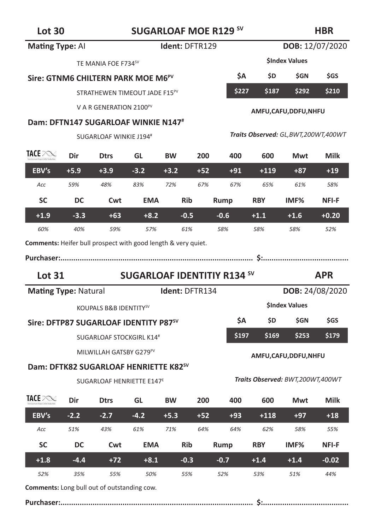# Lot 30 **SUGARLOAF MOE R129 SV**

### **HBR**

| <b>Mating Type: Al</b>      |        |                                                               |                                    | Ident: DFTR129 |       |        |            | DOB: 12/07/2020                        |             |
|-----------------------------|--------|---------------------------------------------------------------|------------------------------------|----------------|-------|--------|------------|----------------------------------------|-------------|
|                             |        | TE MANIA FOE F734 <sup>SV</sup>                               |                                    |                |       |        |            | <b>SIndex Values</b>                   |             |
|                             |        | Sire: GTNM6 CHILTERN PARK MOE M6 <sup>PV</sup>                |                                    |                |       | ŚА     | \$D.       | \$GN                                   | <b>SGS</b>  |
|                             |        | STRATHEWEN TIMEOUT JADE F15PV                                 |                                    |                |       | \$227  | \$187      | \$292                                  | \$210       |
|                             |        | V A R GENERATION 2100 <sup>PV</sup>                           |                                    |                |       |        |            |                                        |             |
|                             |        | Dam: DFTN147 SUGARLOAF WINKIE N147#                           |                                    |                |       |        |            | AMFU,CAFU,DDFU,NHFU                    |             |
|                             |        | SUGARLOAF WINKIE J194#                                        |                                    |                |       |        |            | Traits Observed: GL, BWT, 200WT, 400WT |             |
| TACE POST                   | Dir    | <b>Dtrs</b>                                                   | GL                                 | <b>BW</b>      | 200   | 400    | 600        | Mwt                                    | <b>Milk</b> |
| EBV's                       | $+5.9$ | $+3.9$                                                        | $-3.2$                             | $+3.2$         | $+52$ | $+91$  | $+119$     | $+87$                                  | $+19$       |
| Acc                         | 59%    | 48%                                                           | 83%                                | 72%            | 67%   | 67%    | 65%        | 61%                                    | 58%         |
| <b>SC</b>                   | DC     | Cwt                                                           | <b>EMA</b>                         | <b>Rib</b>     |       | Rump   | <b>RBY</b> | IMF%                                   | NFI-F       |
| $+1.9$                      | $-3.3$ | $+63$                                                         | $+8.2$                             | $-0.5$         |       | $-0.6$ | $+1.1$     | $+1.6$                                 | $+0.20$     |
| 60%                         | 40%    | 59%                                                           | 57%                                | 61%            |       | 58%    | 58%        | 58%                                    | 52%         |
|                             |        | Comments: Heifer bull prospect with good length & very quiet. |                                    |                |       |        |            |                                        |             |
|                             |        |                                                               |                                    |                |       |        |            |                                        |             |
|                             |        |                                                               |                                    |                |       |        |            |                                        |             |
| <b>Lot 31</b>               |        |                                                               | <b>SUGARLOAF IDENTITIY R134 SV</b> |                |       |        |            |                                        | <b>APR</b>  |
| <b>Mating Type: Natural</b> |        |                                                               |                                    | Ident: DFTR134 |       |        |            | DOB: 24/08/2020                        |             |
|                             |        | KOUPALS B&B IDENTITY <sup>SV</sup>                            |                                    |                |       |        |            | <b>SIndex Values</b>                   |             |
|                             |        | Sire: DFTP87 SUGARLOAF IDENTITY P87 <sup>sv</sup>             |                                    |                |       | \$A    | \$D.       | \$GN                                   | \$GS        |
|                             |        | SUGARLOAF STOCKGIRL K14#                                      |                                    |                |       | \$197  | \$169      | \$253                                  | \$179       |
|                             |        | MILWILLAH GATSBY G279 <sup>PV</sup>                           |                                    |                |       |        |            |                                        |             |
|                             |        | Dam: DFTK82 SUGARLOAF HENRIETTE K82 <sup>sV</sup>             |                                    |                |       |        |            | AMFU, CAFU, DDFU, NHFU                 |             |
|                             |        | SUGARLOAF HENRIETTE E147 <sup>E</sup>                         |                                    |                |       |        |            | Traits Observed: BWT,200WT,400WT       |             |
| TACE POST                   | Dir    | <b>Dtrs</b>                                                   | GL                                 | <b>BW</b>      | 200   | 400    | 600        | Mwt                                    | Milk        |
| EBV's                       | $-2.2$ | $-2.7$                                                        | $-4.2$                             | $+5.3$         | $+52$ | $+93$  | $+118$     | $+97$                                  | $+18$       |
| Acc                         | 51%    | 43%                                                           | 61%                                | 71%            | 64%   | 64%    | 62%        | 58%                                    | 55%         |
| <b>SC</b>                   | DC     | Cwt                                                           | <b>EMA</b>                         | <b>Rib</b>     |       | Rump   | <b>RBY</b> | IMF%                                   | NFI-F       |
| $+1.8$                      | $-4.4$ | $+72$                                                         | $+8.1$                             | $-0.3$         |       | $-0.7$ | $+1.4$     | $+1.4$                                 | $-0.02$     |

**Comments:** Long bull out of outstanding cow.

|--|--|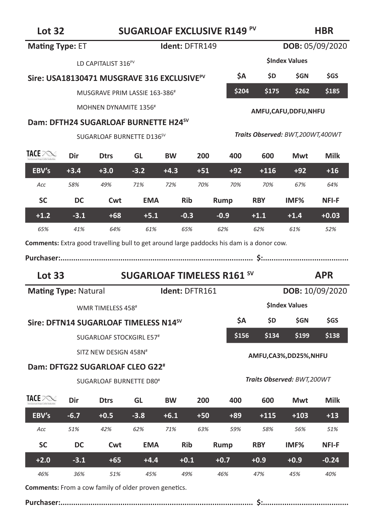# Lot 32 **SUGARLOAF EXCLUSIVE R149<sup>PV</sup>**

### **HBR**

| <b>Mating Type: ET</b>                                                                    |        |                                                        |            | Ident: DFTR149 |       |                                   |            |                                  | DOB: 05/09/2020 |
|-------------------------------------------------------------------------------------------|--------|--------------------------------------------------------|------------|----------------|-------|-----------------------------------|------------|----------------------------------|-----------------|
|                                                                                           |        | LD CAPITALIST 316 <sup>PV</sup>                        |            |                |       |                                   |            | <b>SIndex Values</b>             |                 |
|                                                                                           |        | Sire: USA18130471 MUSGRAVE 316 EXCLUSIVE <sup>PV</sup> |            |                |       | \$А                               | <b>SD</b>  | <b>SGN</b>                       | <b>SGS</b>      |
|                                                                                           |        | MUSGRAVE PRIM LASSIE 163-386 <sup>#</sup>              |            |                |       | \$204                             | \$175      | \$262                            | \$185           |
|                                                                                           |        | MOHNEN DYNAMITE 1356#                                  |            |                |       |                                   |            | AMFU, CAFU, DDFU, NHFU           |                 |
|                                                                                           |        | Dam: DFTH24 SUGARLOAF BURNETTE H24 <sup>SV</sup>       |            |                |       |                                   |            |                                  |                 |
|                                                                                           |        | SUGARLOAF BURNETTE D136 <sup>SV</sup>                  |            |                |       |                                   |            | Traits Observed: BWT,200WT,400WT |                 |
| TACE POST                                                                                 | Dir    | <b>Dtrs</b>                                            | GL         | <b>BW</b>      | 200   | 400                               | 600        | Mwt                              | Milk            |
| EBV's                                                                                     | $+3.4$ | $+3.0$                                                 | $-3.2$     | $+4.3$         | $+51$ | $+92$                             | $+116$     | $+92$                            | $+16$           |
| Acc                                                                                       | 58%    | 49%                                                    | 71%        | 72%            | 70%   | 70%                               | 70%        | 67%                              | 64%             |
| <b>SC</b>                                                                                 | DC     | Cwt                                                    | <b>EMA</b> | <b>Rib</b>     |       | Rump                              | <b>RBY</b> | IMF%                             | NFI-F           |
| $+1.2$                                                                                    | $-3.1$ | $+68$                                                  | $+5.1$     | $-0.3$         |       | $-0.9$                            | $+1.1$     | $+1.4$                           | $+0.03$         |
| 65%                                                                                       | 41%    | 64%                                                    | 61%        | 65%            |       | 62%                               | 62%        | 61%                              | 52%             |
| Comments: Extra good travelling bull to get around large paddocks his dam is a donor cow. |        |                                                        |            |                |       |                                   |            |                                  |                 |
|                                                                                           |        |                                                        |            |                |       |                                   |            |                                  |                 |
|                                                                                           |        |                                                        |            |                |       |                                   |            |                                  |                 |
| <b>Lot 33</b>                                                                             |        |                                                        |            |                |       | <b>SUGARLOAF TIMELESS R161 SV</b> |            |                                  | <b>APR</b>      |
| <b>Mating Type: Natural</b>                                                               |        |                                                        |            | Ident: DFTR161 |       |                                   |            |                                  | DOB: 10/09/2020 |
|                                                                                           |        | WMR TIMELESS 458#                                      |            |                |       |                                   |            | <b>SIndex Values</b>             |                 |
|                                                                                           |        | Sire: DFTN14 SUGARLOAF TIMELESS N14 <sup>sV</sup>      |            |                |       | ŚΑ                                | \$D.       | \$GN                             | <b>SGS</b>      |
|                                                                                           |        | SUGARLOAF STOCKGIRL E57#                               |            |                |       | \$156                             | \$134      | \$199                            | \$138           |
|                                                                                           |        | SITZ NEW DESIGN 458N#                                  |            |                |       |                                   |            |                                  |                 |
|                                                                                           |        | Dam: DFTG22 SUGARLOAF CLEO G22 <sup>#</sup>            |            |                |       |                                   |            | AMFU,CA3%,DD25%,NHFU             |                 |
|                                                                                           |        | SUGARLOAF BURNETTE D80 <sup>#</sup>                    |            |                |       |                                   |            | Traits Observed: BWT,200WT       |                 |
| TACE PORT                                                                                 | Dir    | <b>Dtrs</b>                                            | GL         | <b>BW</b>      | 200   | 400                               | 600        | Mwt                              | Milk            |
| EBV's                                                                                     | $-6.7$ | $+0.5$                                                 | $-3.8$     | $+6.1$         | $+50$ | $+89$                             | $+115$     | $+103$                           | $+13$           |
| Acc                                                                                       | 51%    | 42%                                                    | 62%        | 71%            | 63%   | 59%                               | 58%        | 56%                              | 51%             |
| <b>SC</b>                                                                                 | DC     | Cwt                                                    | <b>EMA</b> | <b>Rib</b>     |       | Rump                              | <b>RBY</b> | IMF%                             | NFI-F           |
| $+2.0$                                                                                    | $-3.1$ | $+65$                                                  | $+4.4$     | $+0.1$         |       | $+0.7$                            | $+0.9$     | $+0.9$                           | $-0.24$         |

**Comments:** From a cow family of older proven genetics.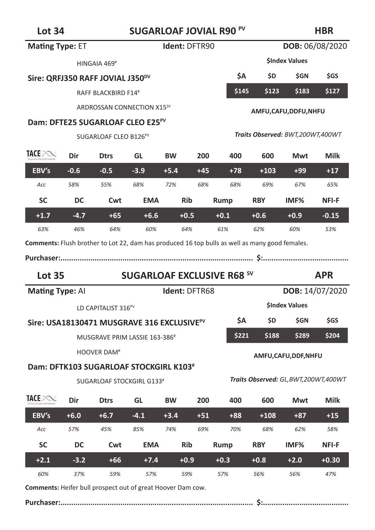| <b>Lot 34</b>                                                                                  |        |                                                        |            | <b>SUGARLOAF JOVIAL R90 PV</b>    |       |        |            |                                        | HBR         |
|------------------------------------------------------------------------------------------------|--------|--------------------------------------------------------|------------|-----------------------------------|-------|--------|------------|----------------------------------------|-------------|
| <b>Mating Type: ET</b>                                                                         |        |                                                        |            | Ident: DFTR90                     |       |        |            | DOB: 06/08/2020                        |             |
|                                                                                                |        | HINGAIA 469 <sup>#</sup>                               |            |                                   |       |        |            | <b>SIndex Values</b>                   |             |
|                                                                                                |        | Sire: QRFJ350 RAFF JOVIAL J350 <sup>DV</sup>           |            |                                   |       | ŚА     | \$D        | \$GN                                   | \$GS        |
|                                                                                                |        | RAFF BLACKBIRD F14#                                    |            |                                   |       | \$145  | \$123      | \$183                                  | \$127       |
|                                                                                                |        | ARDROSSAN CONNECTION X15 <sup>SV</sup>                 |            |                                   |       |        |            | AMFU, CAFU, DDFU, NHFU                 |             |
|                                                                                                |        | Dam: DFTE25 SUGARLOAF CLEO E25 <sup>PV</sup>           |            |                                   |       |        |            |                                        |             |
|                                                                                                |        | SUGARLOAF CLEO B126 <sup>PV</sup>                      |            |                                   |       |        |            | Traits Observed: BWT,200WT,400WT       |             |
| TACE PONE                                                                                      | Dir    | <b>Dtrs</b>                                            | GL         | <b>BW</b>                         | 200   | 400    | 600        | Mwt                                    | <b>Milk</b> |
| EBV's                                                                                          | $-0.6$ | $-0.5$                                                 | $-3.9$     | $+5.4$                            | $+45$ | $+78$  | $+103$     | $+99$                                  | $+17$       |
| Acc                                                                                            | 58%    | 55%                                                    | 68%        | 72%                               | 68%   | 68%    | 69%        | 67%                                    | 65%         |
| <b>SC</b>                                                                                      | DC     | Cwt                                                    | <b>EMA</b> | <b>Rib</b>                        |       | Rump   | <b>RBY</b> | IMF%                                   | NFI-F       |
| $+1.7$                                                                                         | $-4.7$ | $+65$                                                  | $+6.6$     | $+0.5$                            |       | $+0.1$ | $+0.6$     | $+0.9$                                 | $-0.15$     |
| 63%                                                                                            | 46%    | 64%                                                    | 60%        | 64%                               |       | 61%    | 62%        | 60%                                    | 53%         |
| Comments: Flush brother to Lot 22, dam has produced 16 top bulls as well as many good females. |        |                                                        |            |                                   |       |        |            |                                        |             |
|                                                                                                |        |                                                        |            |                                   |       |        |            |                                        |             |
| <b>Lot 35</b>                                                                                  |        |                                                        |            | <b>SUGARLOAF EXCLUSIVE R68 SV</b> |       |        |            |                                        | <b>APR</b>  |
| Mating Type: Al                                                                                |        |                                                        |            | Ident: DFTR68                     |       |        |            | DOB: 14/07/2020                        |             |
|                                                                                                |        | LD CAPITALIST 316 <sup>PV</sup>                        |            |                                   |       |        |            | <b>SIndex Values</b>                   |             |
|                                                                                                |        | Sire: USA18130471 MUSGRAVE 316 EXCLUSIVE <sup>PV</sup> |            |                                   |       | ŚА     | \$D.       | \$GN                                   |             |
|                                                                                                |        | MUSGRAVE PRIM LASSIE 163-386 <sup>#</sup>              |            |                                   |       |        |            |                                        | <b>SGS</b>  |
|                                                                                                |        |                                                        |            |                                   |       | \$221  | \$188      | \$289                                  | \$204       |
|                                                                                                |        | HOOVER DAM <sup>#</sup>                                |            |                                   |       |        |            | AMFU, CAFU, DDF, NHFU                  |             |
|                                                                                                |        | Dam: DFTK103 SUGARLOAF STOCKGIRL K103 <sup>#</sup>     |            |                                   |       |        |            |                                        |             |
|                                                                                                |        | SUGARLOAF STOCKGIRL G133#                              |            |                                   |       |        |            | Traits Observed: GL, BWT, 200WT, 400WT |             |
| TACE PONE                                                                                      | Dir    | <b>Dtrs</b>                                            | GL         | <b>BW</b>                         | 200   | 400    | 600        | Mwt                                    | Milk        |
| EBV's                                                                                          | $+6.0$ | $+6.7$                                                 | $-4.1$     | $+3.4$                            | $+51$ | $+88$  | $+108$     | $+87$                                  | $+15$       |
| Acc                                                                                            | 57%    | 45%                                                    | 85%        | 74%                               | 69%   | 70%    | 68%        | 62%                                    | 58%         |
| <b>SC</b>                                                                                      | DC     | Cwt                                                    | <b>EMA</b> | Rib                               |       | Rump   | <b>RBY</b> | IMF%                                   | NFI-F       |
| $+2.1$                                                                                         | $-3.2$ | $+66$                                                  | $+7.4$     | $+0.9$                            |       | $+0.3$ | $+0.8$     | $+2.0$                                 | $+0.30$     |

**Comments:** Heifer bull prospect out of great Hoover Dam cow.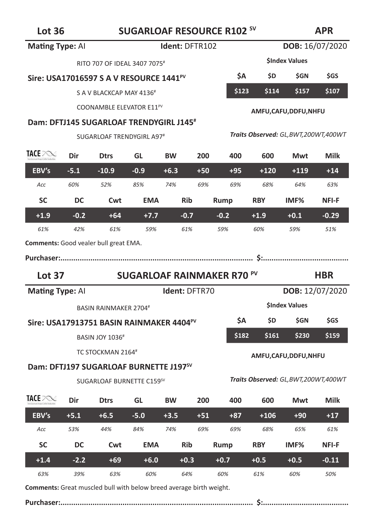| <b>Mating Type: All</b>                      |        |                                                      |            | <b>Ident: DFTR102</b> |       |                                   |            | DOB: 16/07/2020                        |                 |
|----------------------------------------------|--------|------------------------------------------------------|------------|-----------------------|-------|-----------------------------------|------------|----------------------------------------|-----------------|
|                                              |        | RITO 707 OF IDEAL 3407 7075#                         |            |                       |       |                                   |            | <b>SIndex Values</b>                   |                 |
|                                              |        | Sire: USA17016597 S A V RESOURCE 1441 <sup>PV</sup>  |            |                       |       | \$Α                               | <b>SD</b>  | <b>SGN</b>                             | <b>SGS</b>      |
|                                              |        | S A V BLACKCAP MAY 4136 <sup>#</sup>                 |            |                       |       | \$123                             | \$114      | \$157                                  | \$107           |
|                                              |        | COONAMBLE ELEVATOR E11 <sup>PV</sup>                 |            |                       |       |                                   |            | AMFU,CAFU,DDFU,NHFU                    |                 |
|                                              |        | Dam: DFTJ145 SUGARLOAF TRENDYGIRL J145 <sup>#</sup>  |            |                       |       |                                   |            |                                        |                 |
|                                              |        | SUGARLOAF TRENDYGIRL A97#                            |            |                       |       |                                   |            | Traits Observed: GL, BWT, 200WT, 400WT |                 |
| TACE POST                                    | Dir    | <b>Dtrs</b>                                          | GL         | <b>BW</b>             | 200   | 400                               | 600        | Mwt                                    | <b>Milk</b>     |
| EBV's                                        | $-5.1$ | $-10.9$                                              | $-0.9$     | $+6.3$                | $+50$ | $+95$                             | $+120$     | $+119$                                 | $+14$           |
| Acc                                          | 60%    | 52%                                                  | 85%        | 74%                   | 69%   | 69%                               | 68%        | 64%                                    | 63%             |
| <b>SC</b>                                    | DC     | Cwt                                                  | EMA        | Rib                   |       | Rump                              | <b>RBY</b> | IMF%                                   | NFI-F           |
| $+1.9$                                       | $-0.2$ | $+64$                                                | $+7.7$     | $-0.7$                |       | $-0.2$                            | $+1.9$     | $+0.1$                                 | $-0.29$         |
| 61%                                          | 42%    | 61%                                                  | 59%        | 61%                   |       | 59%                               | 60%        | 59%                                    | 51%             |
| <b>Comments:</b> Good vealer bull great EMA. |        |                                                      |            |                       |       |                                   |            |                                        |                 |
|                                              |        |                                                      |            |                       |       |                                   |            |                                        |                 |
|                                              |        |                                                      |            |                       |       |                                   |            |                                        |                 |
| Lot $37$                                     |        |                                                      |            |                       |       | <b>SUGARLOAF RAINMAKER R70 PV</b> |            |                                        | <b>HBR</b>      |
| Mating Type: Al                              |        |                                                      |            | Ident: DFTR70         |       |                                   |            |                                        | DOB: 12/07/2020 |
|                                              |        | <b>BASIN RAINMAKER 2704#</b>                         |            |                       |       |                                   |            | <b>SIndex Values</b>                   |                 |
|                                              |        | Sire: USA17913751 BASIN RAINMAKER 4404 <sup>PV</sup> |            |                       |       | \$Α                               | \$D —      | \$GN                                   | <b>SGS</b>      |
|                                              |        | <b>BASIN JOY 1036#</b>                               |            |                       |       | \$182                             | \$161      | \$230                                  | \$159           |
|                                              |        | TC STOCKMAN 2164#                                    |            |                       |       |                                   |            |                                        |                 |
|                                              |        | Dam: DFTJ197 SUGARLOAF BURNETTE J197 <sup>sv</sup>   |            |                       |       |                                   |            | AMFU, CAFU, DDFU, NHFU                 |                 |
|                                              |        | SUGARLOAF BURNETTE C159SV                            |            |                       |       |                                   |            | Traits Observed: GL, BWT, 200WT, 400WT |                 |
| TACE POST                                    | Dir    | <b>Dtrs</b>                                          | GL         | <b>BW</b>             | 200   | 400                               | 600        | Mwt                                    | <b>Milk</b>     |
| EBV's                                        | $+5.1$ | $+6.5$                                               | $-5.0$     | $+3.5$                | $+51$ | $+87$                             | $+106$     | $+90$                                  | $+17$           |
| Acc                                          | 53%    | 44%                                                  | 84%        | 74%                   | 69%   | 69%                               | 68%        | 65%                                    | 61%             |
| <b>SC</b>                                    | DC     | Cwt                                                  | <b>EMA</b> | Rib                   |       | Rump                              | <b>RBY</b> | IMF%                                   | NFI-F           |
| $+1.4$                                       | $-2.2$ | $+69$                                                | $+6.0$     | $+0.3$                |       | $+0.7$                            | $+0.5$     | $+0.5$                                 | $-0.11$         |

**Comments:** Great muscled bull with below breed average birth weight.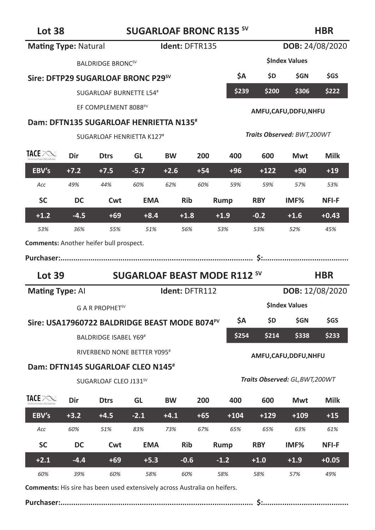# Lot 38 **SUGARLOAF BRONC R135 SV**

### **HBR**

| <b>Mating Type: Natural</b>                    |        |                                                           |                                     | Ident: DFTR135 |       |        |            |                                 | DOB: 24/08/2020 |
|------------------------------------------------|--------|-----------------------------------------------------------|-------------------------------------|----------------|-------|--------|------------|---------------------------------|-----------------|
|                                                |        | <b>BALDRIDGE BRONCSV</b>                                  |                                     |                |       |        |            | <b>SIndex Values</b>            |                 |
|                                                |        | Sire: DFTP29 SUGARLOAF BRONC P29 <sup>sv</sup>            |                                     |                |       | ŚΑ     | \$D        | \$GN                            | \$GS            |
|                                                |        | <b>SUGARLOAF BURNETTE L54#</b>                            |                                     |                |       | \$239  | \$200      | \$306                           | \$222           |
|                                                |        | EF COMPLEMENT 8088 <sup>PV</sup>                          |                                     |                |       |        |            | AMFU,CAFU,DDFU,NHFU             |                 |
|                                                |        | Dam: DFTN135 SUGARLOAF HENRIETTA N135 <sup>#</sup>        |                                     |                |       |        |            |                                 |                 |
|                                                |        | SUGARLOAF HENRIETTA K127#                                 |                                     |                |       |        |            | Traits Observed: BWT,200WT      |                 |
| TACE POST                                      | Dir    | <b>Dtrs</b>                                               | GL                                  | <b>BW</b>      | 200   | 400    | 600        | Mwt                             | Milk            |
| EBV's                                          | $+7.2$ | $+7.5$                                                    | $-5.7$                              | $+2.6$         | $+54$ | $+96$  | $+122$     | $+90$                           | $+19$           |
| Acc                                            | 49%    | 44%                                                       | 60%                                 | 62%            | 60%   | 59%    | 59%        | 57%                             | 53%             |
| <b>SC</b>                                      | DC     | Cwt                                                       | <b>EMA</b>                          | <b>Rib</b>     |       | Rump   | <b>RBY</b> | IMF%                            | NFI-F           |
| $+1.2$                                         | $-4.5$ | $+69$                                                     | $+8.4$                              | $+1.8$         |       | $+1.9$ | $-0.2$     | $+1.6$                          | $+0.43$         |
| 53%                                            | 36%    | 55%                                                       | 51%                                 | 56%            |       | 53%    | 53%        | 52%                             | 45%             |
| <b>Comments:</b> Another heifer bull prospect. |        |                                                           |                                     |                |       |        |            |                                 |                 |
|                                                |        |                                                           |                                     |                |       |        |            |                                 |                 |
|                                                |        |                                                           |                                     |                |       |        |            |                                 |                 |
| Lot $39$                                       |        |                                                           | <b>SUGARLOAF BEAST MODE R112 SV</b> |                |       |        |            |                                 | <b>HBR</b>      |
| <b>Mating Type: Al</b>                         |        |                                                           |                                     | Ident: DFTR112 |       |        |            |                                 | DOB: 12/08/2020 |
|                                                |        | G A R PROPHET <sup>SV</sup>                               |                                     |                |       |        |            | <b>SIndex Values</b>            |                 |
|                                                |        | Sire: USA17960722 BALDRIDGE BEAST MODE B074 <sup>PV</sup> |                                     |                |       | ŚА     | \$D.       | \$GN                            | \$GS            |
|                                                |        | <b>BALDRIDGE ISABEL Y69#</b>                              |                                     |                |       | \$254  | \$214      | \$338                           | \$233           |
|                                                |        | RIVERBEND NONE BETTER Y095#                               |                                     |                |       |        |            |                                 |                 |
|                                                |        | Dam: DFTN145 SUGARLOAF CLEO N145 <sup>#</sup>             |                                     |                |       |        |            | AMFU,CAFU,DDFU,NHFU             |                 |
|                                                |        | SUGARLOAF CLEO J131 <sup>SV</sup>                         |                                     |                |       |        |            | Traits Observed: GL, BWT, 200WT |                 |
| TACE POST                                      | Dir    | <b>Dtrs</b>                                               | GL                                  | <b>BW</b>      | 200   | 400    | 600        | Mwt                             | Milk            |
| EBV's                                          | $+3.2$ | $+4.5$                                                    | $-2.1$                              | $+4.1$         | $+65$ | $+104$ | +129       | $+109$                          | $+15$           |
| Acc                                            | 60%    | 51%                                                       | 83%                                 | 73%            | 67%   | 65%    | 65%        | 63%                             | 61%             |
| <b>SC</b>                                      | DC.    | Cwt                                                       | <b>EMA</b>                          | <b>Rib</b>     |       | Rump   | <b>RBY</b> | IMF <sub>%</sub>                | NFI-F           |
| $+2.1$                                         | $-4.4$ | $+69$                                                     | $+5.3$                              | $-0.6$         |       | $-1.2$ | $+1.0$     | $+1.9$                          | $+0.05$         |

**Comments:** His sire has been used extensively across Australia on heifers.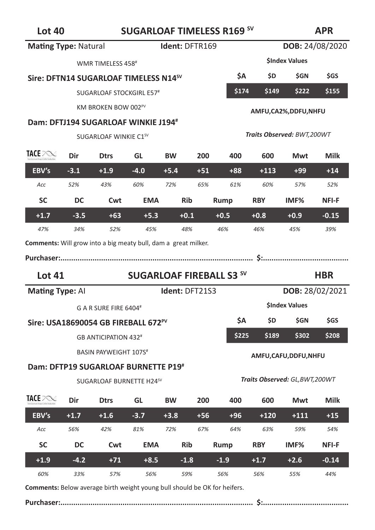| <b>Mating Type: Natural</b>                                           |        |                                                   |            |           | Ident: DFTR169 |                                 |            | DOB: 24/08/2020                 |                 |
|-----------------------------------------------------------------------|--------|---------------------------------------------------|------------|-----------|----------------|---------------------------------|------------|---------------------------------|-----------------|
|                                                                       |        | WMR TIMELESS 458#                                 |            |           |                |                                 |            | <b>SIndex Values</b>            |                 |
|                                                                       |        | Sire: DFTN14 SUGARLOAF TIMELESS N14 <sup>SV</sup> |            |           |                | \$Α                             | \$D        | \$GN                            | \$GS            |
|                                                                       |        | SUGARLOAF STOCKGIRL E57#                          |            |           |                | \$174                           | \$149      | \$222                           | \$155           |
|                                                                       |        | KM BROKEN BOW 002PV                               |            |           |                |                                 |            | AMFU,CA2%,DDFU,NHFU             |                 |
|                                                                       |        | Dam: DFTJ194 SUGARLOAF WINKIE J194#               |            |           |                |                                 |            |                                 |                 |
|                                                                       |        | SUGARLOAF WINKIE C1 <sup>SV</sup>                 |            |           |                |                                 |            | Traits Observed: BWT,200WT      |                 |
| TACE POST                                                             | Dir    | <b>Dtrs</b>                                       | GL         | <b>BW</b> | 200            | 400                             | 600        | Mwt                             | Milk            |
| EBV's                                                                 | $-3.1$ | $+1.9$                                            | $-4.0$     | $+5.4$    | $+51$          | $+88$                           | $+113$     | $+99$                           | $+14$           |
| Acc                                                                   | 52%    | 43%                                               | 60%        | 72%       | 65%            | 61%                             | 60%        | 57%                             | 52%             |
| <b>SC</b>                                                             | DC     | Cwt                                               | <b>EMA</b> |           | <b>Rib</b>     | Rump                            | <b>RBY</b> | IMF <sub>%</sub>                | NFI-F           |
| $+1.7$                                                                | $-3.5$ | $+63$                                             | $+5.3$     |           | $+0.1$         | $+0.5$                          | $+0.8$     | $+0.9$                          | $-0.15$         |
| 47%                                                                   | 34%    | 52%                                               | 45%        |           | 48%            | 46%                             | 46%        | 45%                             | 39%             |
| <b>Comments:</b> Will grow into a big meaty bull, dam a great milker. |        |                                                   |            |           |                |                                 |            |                                 |                 |
|                                                                       |        |                                                   |            |           |                |                                 |            |                                 |                 |
|                                                                       |        |                                                   |            |           |                |                                 |            |                                 |                 |
| <b>Lot 41</b>                                                         |        |                                                   |            |           |                | <b>SUGARLOAF FIREBALL S3 SV</b> |            |                                 | <b>HBR</b>      |
| Mating Type: Al                                                       |        |                                                   |            |           | Ident: DFT21S3 |                                 |            |                                 | DOB: 28/02/2021 |
|                                                                       |        | G A R SURE FIRE 6404#                             |            |           |                |                                 |            | <b>SIndex Values</b>            |                 |
|                                                                       |        | Sire: USA18690054 GB FIREBALL 672PV               |            |           |                | \$Α                             | \$D        | \$GN                            | \$GS            |
|                                                                       |        | <b>GB ANTICIPATION 432<sup>#</sup></b>            |            |           |                | \$225                           | \$189      | \$302                           | \$208           |
|                                                                       |        | BASIN PAYWEIGHT 107S <sup>#</sup>                 |            |           |                |                                 |            | AMFU,CAFU,DDFU,NHFU             |                 |
|                                                                       |        | Dam: DFTP19 SUGARLOAF BURNETTE P19#               |            |           |                |                                 |            |                                 |                 |
|                                                                       |        | SUGARLOAF BURNETTE H24SV                          |            |           |                |                                 |            | Traits Observed: GL, BWT, 200WT |                 |
| TACE POST                                                             | Dir    | <b>Dtrs</b>                                       | GL         | <b>BW</b> | 200            | 400                             | 600        | Mwt                             | Milk            |
| EBV's                                                                 | $+1.7$ | $+1.6$                                            | $-3.7$     | $+3.8$    | +56            | $+96$                           | +120       | $+111$                          | $+15$           |
| Acc                                                                   | 56%    | 42%                                               | 81%        | 72%       | 67%            | 64%                             | 63%        | 59%                             | 54%             |
| <b>SC</b>                                                             | DC     | Cwt                                               | <b>EMA</b> |           | <b>Rib</b>     | Rump                            | <b>RBY</b> | IMF <sub>%</sub>                | NFI-F           |
| $+1.9$                                                                | $-4.2$ | $+71$                                             | $+8.5$     |           | $-1.8$         | $-1.9$                          | $+1.7$     | $+2.6$                          | $-0.14$         |

**Comments:** Below average birth weight young bull should be OK for heifers.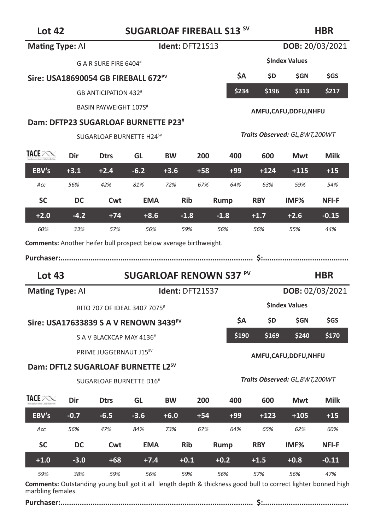# Lot 42 **SUGARLOAF FIREBALL S13**<sup>SV</sup>

### **HBR**

| <b>Mating Type: AI</b>                                                                                                       |        |                                          |            | Ident: DFT21S13 |       |                                |            | DOB: 20/03/2021                 |            |
|------------------------------------------------------------------------------------------------------------------------------|--------|------------------------------------------|------------|-----------------|-------|--------------------------------|------------|---------------------------------|------------|
|                                                                                                                              |        | G A R SURE FIRE 6404#                    |            |                 |       |                                |            | <b>SIndex Values</b>            |            |
| Sire: USA18690054 GB FIREBALL 672 <sup>PV</sup>                                                                              |        |                                          |            |                 |       | \$A                            | \$D.       | \$GN                            | \$GS       |
|                                                                                                                              |        | <b>GB ANTICIPATION 432<sup>#</sup></b>   |            |                 |       | \$234                          | \$196      | \$313                           | \$217      |
|                                                                                                                              |        | BASIN PAYWEIGHT 107S <sup>#</sup>        |            |                 |       |                                |            | AMFU, CAFU, DDFU, NHFU          |            |
| Dam: DFTP23 SUGARLOAF BURNETTE P23 <sup>#</sup>                                                                              |        |                                          |            |                 |       |                                |            |                                 |            |
|                                                                                                                              |        | SUGARLOAF BURNETTE H24SV                 |            |                 |       |                                |            | Traits Observed: GL, BWT, 200WT |            |
| TACE PORT                                                                                                                    | Dir    | <b>Dtrs</b>                              | GL         | <b>BW</b>       | 200   | 400                            | 600        | Mwt                             | Milk       |
| EBV's                                                                                                                        | $+3.1$ | $+2.4$                                   | $-6.2$     | $+3.6$          | $+58$ | $+99$                          | $+124$     | $+115$                          | $+15$      |
| Acc                                                                                                                          | 56%    | 42%                                      | 81%        | 72%             | 67%   | 64%                            | 63%        | 59%                             | 54%        |
| <b>SC</b>                                                                                                                    | DC     | Cwt                                      | <b>EMA</b> | <b>Rib</b>      |       | Rump                           | <b>RBY</b> | IMF%                            | NFI-F      |
| $+2.0$                                                                                                                       | $-4.2$ | $+74$                                    | $+8.6$     | $-1.8$          |       | $-1.8$                         | $+1.7$     | $+2.6$                          | $-0.15$    |
| 60%                                                                                                                          | 33%    | 57%                                      | 56%        | 59%             |       | 56%                            | 56%        | 55%                             | 44%        |
|                                                                                                                              |        |                                          |            |                 |       |                                |            |                                 |            |
|                                                                                                                              |        |                                          |            |                 |       |                                |            |                                 |            |
|                                                                                                                              |        |                                          |            |                 |       |                                |            |                                 |            |
| <b>Lot 43</b>                                                                                                                |        |                                          |            |                 |       | <b>SUGARLOAF RENOWN S37 PV</b> |            |                                 | <b>HBR</b> |
|                                                                                                                              |        |                                          |            | Ident: DFT21S37 |       |                                |            | DOB: 02/03/2021                 |            |
|                                                                                                                              |        | RITO 707 OF IDEAL 3407 7075 <sup>#</sup> |            |                 |       |                                |            | <b>SIndex Values</b>            |            |
|                                                                                                                              |        |                                          |            |                 |       | \$A                            | \$D.       | <b>SGN</b>                      | <b>SGS</b> |
|                                                                                                                              |        | S A V BLACKCAP MAY 4136 <sup>#</sup>     |            |                 |       | \$190                          | \$169      | \$240                           | \$170      |
|                                                                                                                              |        | PRIME JUGGERNAUT J15 <sup>SV</sup>       |            |                 |       |                                |            |                                 |            |
|                                                                                                                              |        |                                          |            |                 |       |                                |            | AMFU, CAFU, DDFU, NHFU          |            |
| Sire: USA17633839 S A V RENOWN 3439 <sup>PV</sup><br>Dam: DFTL2 SUGARLOAF BURNETTE L2 <sup>sv</sup>                          |        | SUGARLOAF BURNETTE D16 <sup>#</sup>      |            |                 |       |                                |            | Traits Observed: GL, BWT, 200WT |            |
|                                                                                                                              | Dir    | <b>Dtrs</b>                              | GL         | <b>BW</b>       | 200   | 400                            | 600        | Mwt                             | Milk       |
| EBV's                                                                                                                        | $-0.7$ | $-6.5$                                   | $-3.6$     | $+6.0$          | $+54$ | $+99$                          | $+123$     | $+105$                          | $+15$      |
| Acc                                                                                                                          | 56%    | 47%                                      | 84%        | 73%             | 67%   | 64%                            | 65%        | 62%                             | 60%        |
| <b>Comments:</b> Another heifer bull prospect below average birthweight.<br><b>Mating Type: Al</b><br>TACE POST<br><b>SC</b> | DC     | Cwt                                      | <b>EMA</b> | <b>Rib</b>      |       | Rump                           | <b>RBY</b> | IMF <sub>%</sub>                | NFI-F      |
| $+1.0$                                                                                                                       | $-3.0$ | $+68$                                    | $+7.4$     | $+0.1$          |       | $+0.2$                         | +1.5       | $+0.8$                          | $-0.11$    |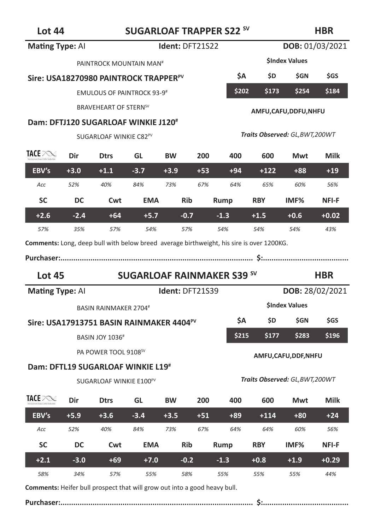**HBR**

| <b>Mating Type: Al</b>                                                                   |               |                                                      |               | Ident: DFT21S22 |       |                                   |               | DOB: 01/03/2021                 |                |
|------------------------------------------------------------------------------------------|---------------|------------------------------------------------------|---------------|-----------------|-------|-----------------------------------|---------------|---------------------------------|----------------|
|                                                                                          |               | PAINTROCK MOUNTAIN MAN <sup>#</sup>                  |               |                 |       |                                   |               | <b>SIndex Values</b>            |                |
|                                                                                          |               | Sire: USA18270980 PAINTROCK TRAPPER <sup>PV</sup>    |               |                 |       | \$Α                               | \$D.          | <b>SGN</b>                      | <b>SGS</b>     |
|                                                                                          |               | <b>EMULOUS OF PAINTROCK 93-9#</b>                    |               |                 |       | \$202                             | \$173         | \$254                           | \$184          |
|                                                                                          |               | <b>BRAVEHEART OF STERNSV</b>                         |               |                 |       |                                   |               |                                 |                |
|                                                                                          |               | Dam: DFTJ120 SUGARLOAF WINKIE J120#                  |               |                 |       |                                   |               | AMFU,CAFU,DDFU,NHFU             |                |
|                                                                                          |               | SUGARLOAF WINKIE C82 <sup>PV</sup>                   |               |                 |       |                                   |               | Traits Observed: GL, BWT, 200WT |                |
|                                                                                          |               |                                                      |               |                 |       |                                   |               |                                 |                |
| TACE POST                                                                                | Dir           | <b>Dtrs</b>                                          | GL            | <b>BW</b>       | 200   | 400                               | 600           | Mwt                             | Milk           |
| EBV's                                                                                    | $+3.0$        | $+1.1$                                               | $-3.7$        | $+3.9$          | $+53$ | $+94$                             | $+122$        | $+88$                           | $+19$          |
| Acc                                                                                      | 52%           | 40%                                                  | 84%           | 73%             | 67%   | 64%                               | 65%           | 60%                             | 56%            |
| <b>SC</b>                                                                                | DC            | Cwt                                                  | <b>EMA</b>    | <b>Rib</b>      |       | Rump                              | <b>RBY</b>    | IMF <sub>%</sub>                | NFI-F          |
| $+2.6$                                                                                   | $-2.4$        | $+64$                                                | $+5.7$        | $-0.7$          |       | $-1.3$                            | $+1.5$        | $+0.6$                          | $+0.02$        |
|                                                                                          |               | 57%                                                  | 54%           | 57%             |       | 54%                               | 54%           | 54%                             | 43%            |
| 57%                                                                                      | 35%           |                                                      |               |                 |       |                                   |               |                                 |                |
| Comments: Long, deep bull with below breed average birthweight, his sire is over 1200KG. |               |                                                      |               |                 |       |                                   |               |                                 |                |
|                                                                                          |               |                                                      |               |                 |       |                                   |               |                                 |                |
| <b>Lot 45</b>                                                                            |               |                                                      |               |                 |       | <b>SUGARLOAF RAINMAKER S39 SV</b> |               |                                 | <b>HBR</b>     |
| <b>Mating Type: Al</b>                                                                   |               |                                                      |               | Ident: DFT21S39 |       |                                   |               | DOB: 28/02/2021                 |                |
|                                                                                          |               | <b>BASIN RAINMAKER 2704#</b>                         |               |                 |       |                                   |               | <b>SIndex Values</b>            |                |
|                                                                                          |               | Sire: USA17913751 BASIN RAINMAKER 4404 <sup>PV</sup> |               |                 |       | ŚА                                | \$D.          | \$GN                            | \$GS           |
|                                                                                          |               | <b>BASIN JOY 1036#</b>                               |               |                 |       | \$215                             | \$177         | \$283                           | \$196          |
|                                                                                          |               | PA POWER TOOL 9108 <sup>SV</sup>                     |               |                 |       |                                   |               |                                 |                |
|                                                                                          |               | Dam: DFTL19 SUGARLOAF WINKIE L19#                    |               |                 |       |                                   |               | AMFU,CAFU,DDF,NHFU              |                |
|                                                                                          |               | SUGARLOAF WINKIE E100 <sup>PV</sup>                  |               |                 |       |                                   |               | Traits Observed: GL, BWT, 200WT |                |
|                                                                                          |               |                                                      |               |                 |       |                                   |               |                                 |                |
| TACE POST                                                                                | Dir           | <b>Dtrs</b>                                          | GL            | <b>BW</b>       | 200   | 400                               | 600           | Mwt                             | Milk           |
| EBV's                                                                                    | $+5.9$        | $+3.6$                                               | $-3.4$        | $+3.5$          | $+51$ | $+89$                             | $+114$        | $+80$                           | $+24$          |
| Acc                                                                                      | 52%           | 40%                                                  | 84%           | 73%             | 67%   | 64%                               | 64%           | 60%                             | 56%            |
| <b>SC</b>                                                                                | DC            | Cwt                                                  | <b>EMA</b>    | <b>Rib</b>      |       | <b>Rump</b>                       | <b>RBY</b>    | IMF%                            | NFI-F          |
| $+2.1$<br>58%                                                                            | $-3.0$<br>34% | $+69$<br>57%                                         | $+7.0$<br>55% | $-0.2$<br>58%   |       | $-1.3$<br>55%                     | $+0.8$<br>55% | $+1.9$<br>55%                   | $+0.29$<br>44% |

**Comments:** Heifer bull prospect that will grow out into a good heavy bull.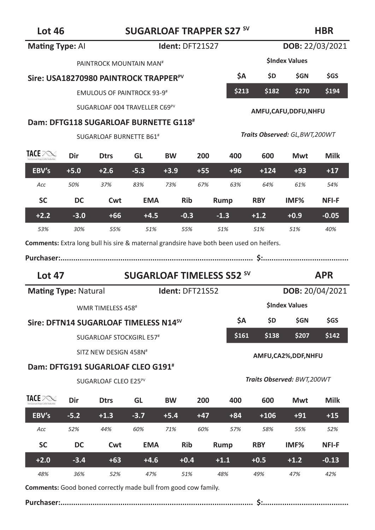| <b>Mating Type: Al</b>                                                                         |        |                                                   | Ident: DFT21S27 |                 | <b>DOB:</b> 22/03/2021 |                                  |            |                                 |                 |
|------------------------------------------------------------------------------------------------|--------|---------------------------------------------------|-----------------|-----------------|------------------------|----------------------------------|------------|---------------------------------|-----------------|
|                                                                                                |        | PAINTROCK MOUNTAIN MAN <sup>#</sup>               |                 |                 |                        | <b>SIndex Values</b>             |            |                                 |                 |
|                                                                                                |        | Sire: USA18270980 PAINTROCK TRAPPER <sup>PV</sup> | \$Α             | \$D —           | \$GN                   | \$GS                             |            |                                 |                 |
|                                                                                                |        | <b>EMULOUS OF PAINTROCK 93-9#</b>                 |                 |                 | \$213                  | \$182                            | \$270      | \$194                           |                 |
|                                                                                                |        | SUGARLOAF 004 TRAVELLER C69PV                     |                 |                 |                        |                                  |            | AMFU,CAFU,DDFU,NHFU             |                 |
|                                                                                                |        | Dam: DFTG118 SUGARLOAF BURNETTE G118#             |                 |                 |                        |                                  |            |                                 |                 |
|                                                                                                |        | SUGARLOAF BURNETTE B61 <sup>#</sup>               |                 |                 |                        |                                  |            | Traits Observed: GL, BWT, 200WT |                 |
| TACE POST                                                                                      | Dir    | <b>Dtrs</b>                                       | GL              | <b>BW</b>       | 200                    | 400                              | 600        | Mwt                             | Milk            |
| EBV's                                                                                          | $+5.0$ | $+2.6$                                            | $-5.3$          | $+3.9$          | $+55$                  | $+96$                            | $+124$     | $+93$                           | $+17$           |
| Acc                                                                                            | 50%    | 37%                                               | 83%             | 73%             | 67%                    | 63%                              | 64%        | 61%                             | 54%             |
| <b>SC</b>                                                                                      | DC     | Cwt                                               | <b>EMA</b>      | Rib             |                        | Rump                             | <b>RBY</b> | IMF%                            | NFI-F           |
| $+2.2$                                                                                         | $-3.0$ | $+66$                                             | $+4.5$          | $-0.3$          |                        | $-1.3$                           | $+1.2$     | $+0.9$                          | $-0.05$         |
| 53%                                                                                            | 30%    | 55%                                               | 51%             | 55%             |                        | 51%                              | 51%        | 51%                             | 40%             |
| <b>Comments:</b> Extra long bull his sire & maternal grandsire have both been used on heifers. |        |                                                   |                 |                 |                        |                                  |            |                                 |                 |
|                                                                                                |        |                                                   |                 |                 |                        |                                  |            |                                 |                 |
|                                                                                                |        |                                                   |                 |                 |                        |                                  |            |                                 |                 |
| <b>Lot 47</b>                                                                                  |        |                                                   |                 |                 |                        | <b>SUGARLOAF TIMELESS S52 SV</b> |            |                                 | <b>APR</b>      |
| <b>Mating Type: Natural</b>                                                                    |        |                                                   |                 | Ident: DFT21S52 |                        |                                  |            |                                 | DOB: 20/04/2021 |
|                                                                                                |        | WMR TIMELESS 458#                                 |                 |                 |                        |                                  |            | <b>SIndex Values</b>            |                 |
|                                                                                                |        | Sire: DFTN14 SUGARLOAF TIMELESS N14 <sup>sv</sup> |                 |                 |                        | ŚА                               | \$D —      | \$GN                            | \$GS            |
|                                                                                                |        | SUGARLOAF STOCKGIRL E57#                          |                 |                 |                        | \$161                            | \$138      | \$207                           | \$142           |
|                                                                                                |        | SITZ NEW DESIGN 458N#                             |                 |                 |                        |                                  |            |                                 |                 |
|                                                                                                |        | Dam: DFTG191 SUGARLOAF CLEO G191 <sup>#</sup>     |                 |                 |                        |                                  |            | AMFU, CA2%, DDF, NHFU           |                 |
|                                                                                                |        | SUGARLOAF CLEO E25 <sup>PV</sup>                  |                 |                 |                        |                                  |            | Traits Observed: BWT,200WT      |                 |
| TACE POST                                                                                      | Dir    | <b>Dtrs</b>                                       | GL              | <b>BW</b>       | 200                    | 400                              | 600        | Mwt                             | Milk            |
| EBV's                                                                                          | $-5.2$ | $+1.3$                                            | $-3.7$          | $+5.4$          | $+47$                  | $+84$                            | $+106$     | $+91$                           | $+15$           |
| Acc                                                                                            | 52%    | 44%                                               | 60%             | 71%             | 60%                    | 57%                              | 58%        | 55%                             | 52%             |
| <b>SC</b>                                                                                      | DC     | Cwt                                               | <b>EMA</b>      | Rib             |                        | Rump                             | <b>RBY</b> | IMF%                            | <b>NFI-F</b>    |
| $+2.0$                                                                                         | $-3.4$ | $+63$                                             | $+4.6$          | $+0.4$          |                        | $+1.1$                           | $+0.5$     | $+1.2$                          | $-0.13$         |

**Comments:** Good boned correctly made bull from good cow family.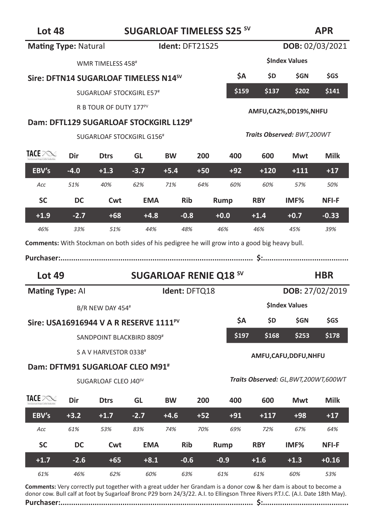# **Lot 48 SUGARLOAF TIMELESS S25 SV**

### **APR**

|                                                                                                |                                       |                                                                                 |               | Ident: DFT21S25               |       |               |               | DOB: 02/03/2021                        |                 |
|------------------------------------------------------------------------------------------------|---------------------------------------|---------------------------------------------------------------------------------|---------------|-------------------------------|-------|---------------|---------------|----------------------------------------|-----------------|
| <b>Mating Type: Natural</b>                                                                    |                                       |                                                                                 |               |                               |       |               |               |                                        |                 |
| WMR TIMELESS 458#                                                                              |                                       |                                                                                 |               |                               |       |               |               | <b>SIndex Values</b>                   |                 |
|                                                                                                |                                       | Sire: DFTN14 SUGARLOAF TIMELESS N14 <sup>sV</sup>                               |               |                               |       | ŚА            | \$D.          | \$GN                                   | \$GS            |
|                                                                                                |                                       | SUGARLOAF STOCKGIRL E57#                                                        |               |                               |       | \$159         | \$137         | \$202                                  | \$141           |
|                                                                                                |                                       | R B TOUR OF DUTY 177 <sup>PV</sup>                                              |               |                               |       |               |               | AMFU, CA2%, DD19%, NHFU                |                 |
|                                                                                                |                                       | Dam: DFTL129 SUGARLOAF STOCKGIRL L129#                                          |               |                               |       |               |               |                                        |                 |
|                                                                                                | SUGARLOAF STOCKGIRL G156 <sup>#</sup> |                                                                                 |               |                               |       |               |               | Traits Observed: BWT,200WT             |                 |
| <b>TACE INDEX</b>                                                                              | Dir                                   | <b>Dtrs</b>                                                                     | GL            | <b>BW</b>                     | 200   | 400           | 600           | Mwt                                    | Milk            |
| EBV's                                                                                          | $-4.0$                                | $+1.3$                                                                          | $-3.7$        | $+5.4$                        | $+50$ | $+92$         | $+120$        | $+111$                                 | $+17$           |
| Acc                                                                                            | 51%                                   | 40%                                                                             | 62%           | 71%                           | 64%   | 60%           | 60%           | 57%                                    | 50%             |
| <b>SC</b>                                                                                      | DC                                    | Cwt                                                                             | <b>EMA</b>    | <b>Rib</b>                    |       | Rump          | <b>RBY</b>    | IMF%                                   | NFI-F           |
| $+1.9$                                                                                         | $-2.7$                                | $+68$                                                                           | $+4.8$        | $-0.8$                        |       | $+0.0$        | $+1.4$        | $+0.7$                                 | $-0.33$         |
|                                                                                                |                                       |                                                                                 | 44%           | 48%                           |       | 46%           | 46%           | 45%                                    | 39%             |
| 46%                                                                                            | 33%                                   | 51%                                                                             |               |                               |       |               |               |                                        |                 |
| Comments: With Stockman on both sides of his pedigree he will grow into a good big heavy bull. |                                       |                                                                                 |               |                               |       |               |               |                                        |                 |
|                                                                                                |                                       |                                                                                 |               |                               |       |               |               |                                        |                 |
| <b>Lot 49</b>                                                                                  |                                       |                                                                                 |               | <b>SUGARLOAF RENIE Q18 SV</b> |       |               |               |                                        | <b>HBR</b>      |
| <b>Mating Type: Al</b>                                                                         |                                       |                                                                                 |               | Ident: DFTQ18                 |       |               |               |                                        | DOB: 27/02/2019 |
|                                                                                                |                                       | B/R NEW DAY 454#                                                                |               |                               |       |               |               | <b>SIndex Values</b>                   |                 |
|                                                                                                |                                       | Sire: USA16916944 V A R RESERVE 1111 <sup>PV</sup>                              |               |                               |       | \$Α           | \$D.          | \$GN                                   | \$GS            |
|                                                                                                |                                       |                                                                                 |               |                               |       | \$197         | \$168         | \$253                                  | \$178           |
|                                                                                                |                                       | SANDPOINT BLACKBIRD 8809#                                                       |               |                               |       |               |               |                                        |                 |
|                                                                                                |                                       | S A V HARVESTOR 0338#                                                           |               |                               |       |               |               | AMFU,CAFU,DDFU,NHFU                    |                 |
|                                                                                                |                                       | Dam: DFTM91 SUGARLOAF CLEO M91 <sup>#</sup><br>SUGARLOAF CLEO J40 <sup>SV</sup> |               |                               |       |               |               | Traits Observed: GL, BWT, 200WT, 600WT |                 |
| TACE PONI                                                                                      |                                       |                                                                                 |               |                               |       |               |               |                                        |                 |
|                                                                                                | Dir                                   | <b>Dtrs</b>                                                                     | GL            | <b>BW</b>                     | 200   | 400           | 600           | Mwt                                    | Milk            |
| EBV's                                                                                          | $+3.2$                                | $+1.7$                                                                          | $-2.7$        | $+4.6$                        | $+52$ | $+91$         | $+117$        | $+98$                                  | $+17$           |
| Acc                                                                                            | 61%                                   | 53%                                                                             | 83%           | 74%                           | 70%   | 69%           | 72%           | 67%                                    | 64%             |
| <b>SC</b>                                                                                      | DC                                    | Cwt                                                                             | EMA           | <b>Rib</b>                    |       | Rump          | <b>RBY</b>    | IMF%                                   | NFI-F           |
| $+1.7$<br>61%                                                                                  | $-2.6$<br>46%                         | $+65$<br>62%                                                                    | $+8.1$<br>60% | $-0.6$<br>63%                 |       | $-0.9$<br>61% | $+1.6$<br>61% | $+1.3$<br>60%                          | $+0.16$<br>53%  |

**Comments:** Very correctly put together with a great udder her Grandam is a donor cow & her dam is about to become a donor cow. Bull calf at foot by Sugarloaf Bronc P29 born 24/3/22. A.I. to Ellingson Three Rivers P.T.I.C. (A.I. Date 18th May).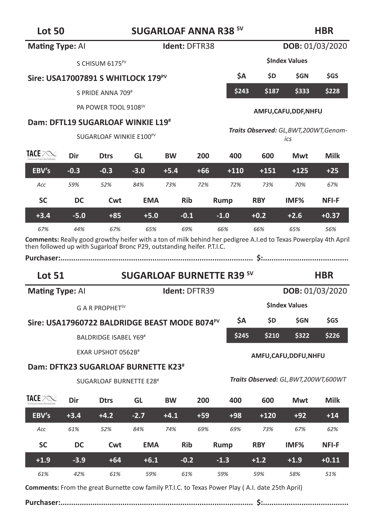# **Lot 50 SUGARLOAF ANNA R38 SV**

| <b>Mating Type: Al</b> | Ident: DFTR38                       |                                                           |            | DOB: 01/03/2020 |                      |                                  |            |                                                |                 |
|------------------------|-------------------------------------|-----------------------------------------------------------|------------|-----------------|----------------------|----------------------------------|------------|------------------------------------------------|-----------------|
|                        |                                     |                                                           |            |                 | <b>SIndex Values</b> |                                  |            |                                                |                 |
|                        |                                     | Sire: USA17007891 S WHITLOCK 179 <sup>PV</sup>            |            |                 | ŚΑ                   | \$D                              | <b>SGN</b> | <b>SGS</b>                                     |                 |
|                        |                                     | S PRIDE ANNA 709#                                         |            |                 |                      | \$243                            | \$187      | \$333                                          | \$228           |
|                        |                                     | PA POWER TOOL 9108 <sup>SV</sup>                          |            |                 |                      |                                  |            | AMFU,CAFU,DDF,NHFU                             |                 |
|                        |                                     | Dam: DFTL19 SUGARLOAF WINKIE L19#                         |            |                 |                      |                                  |            |                                                |                 |
|                        | SUGARLOAF WINKIE E100 <sup>PV</sup> |                                                           |            |                 |                      |                                  |            | Traits Observed: GL, BWT, 200WT, Genom-<br>ics |                 |
| <b>TACE POND</b>       | Dir                                 | <b>Dtrs</b>                                               | GL         | <b>BW</b>       | 200                  | 400                              | 600        | Mwt                                            | Milk            |
| EBV's                  | $-0.3$                              | $-0.3$                                                    | $-3.0$     | $+5.4$          | $+66$                | $+110$                           | $+151$     | $+125$                                         | $+25$           |
| Acc                    | 59%                                 | 52%                                                       | 84%        | 73%             | 72%                  | 72%                              | 73%        | 70%                                            | 67%             |
| <b>SC</b>              | DC                                  | Cwt                                                       | <b>EMA</b> | <b>Rib</b>      |                      | Rump                             | <b>RBY</b> | IMF <sub>%</sub>                               | <b>NFI-F</b>    |
| $+3.4$                 | $-5.0$                              | $+85$                                                     | $+5.0$     | $-0.1$          |                      | $-1.0$                           | $+0.2$     | $+2.6$                                         | $+0.37$         |
| 67%                    | 44%                                 | 67%                                                       | 65%        | 69%             |                      | 66%                              | 66%        | 65%                                            | 56%             |
|                        |                                     |                                                           |            |                 |                      |                                  |            |                                                |                 |
| <b>Lot 51</b>          |                                     |                                                           |            |                 |                      | <b>SUGARLOAF BURNETTE R39 SV</b> |            |                                                | <b>HBR</b>      |
| <b>Mating Type: Al</b> |                                     |                                                           |            | Ident: DFTR39   |                      |                                  |            |                                                | DOB: 01/03/2020 |
|                        |                                     | G A R PROPHET <sup>SV</sup>                               |            |                 |                      |                                  |            | <b>SIndex Values</b>                           |                 |
|                        |                                     | Sire: USA17960722 BALDRIDGE BEAST MODE B074 <sup>PV</sup> |            |                 |                      | ŚΑ                               | \$D        | <b>SGN</b>                                     | \$GS            |
|                        |                                     | <b>BALDRIDGE ISABEL Y69#</b>                              |            |                 |                      | \$245                            | \$210      | \$322                                          | \$226           |
|                        |                                     | EXAR UPSHOT 0562B <sup>#</sup>                            |            |                 |                      |                                  |            | AMFU,CAFU,DDFU,NHFU                            |                 |
|                        |                                     | Dam: DFTK23 SUGARLOAF BURNETTE K23 <sup>#</sup>           |            |                 |                      |                                  |            |                                                |                 |
|                        |                                     | SUGARLOAF BURNETTE E28 <sup>#</sup>                       |            |                 |                      |                                  |            | Traits Observed: GL, BWT, 200WT, 600WT         |                 |
| TACE PORT              | Dir                                 | <b>Dtrs</b>                                               | GL         | <b>BW</b>       | 200                  | 400                              | 600        | Mwt                                            | Milk            |
| EBV's                  | $+3.4$                              | $+4.2$                                                    | $-2.7$     | $+4.1$          | $+59$                | $+98$                            | $+120$     | $+92$                                          | $+14$           |
| Acc                    | 61%                                 | 52%                                                       | 84%        | 74%             | 69%                  | 69%                              | 73%        | 67%                                            | 62%             |
| <b>SC</b>              | DC                                  | Cwt                                                       | <b>EMA</b> | <b>Rib</b>      |                      | Rump                             | <b>RBY</b> | IMF%                                           | <b>NFI-F</b>    |
| $+1.9$                 | $-3.9$                              | $+64$                                                     | $+6.1$     | $-0.2$          |                      | $-1.3$                           | $+1.2$     | $+1.9$                                         | $+0.11$         |

**Comments:** From the great Burnette cow family P.T.I.C. to Texas Power Play ( A.I. date 25th April)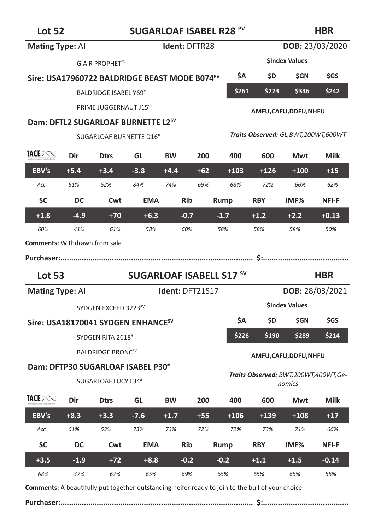# **Lot 52 SUGARLOAF ISABEL R28 PV**

#### **HBR**

| Mating Type: Al                      |                                                |                                                | Ident: DFTR28                   |                                                                 |       | DOB: 23/03/2020 |                |                                                |            |  |
|--------------------------------------|------------------------------------------------|------------------------------------------------|---------------------------------|-----------------------------------------------------------------|-------|-----------------|----------------|------------------------------------------------|------------|--|
|                                      |                                                | G A R PROPHET <sup>SV</sup>                    |                                 |                                                                 |       |                 |                | <b>SIndex Values</b>                           |            |  |
|                                      |                                                |                                                |                                 | ŚΑ<br>Sire: USA17960722 BALDRIDGE BEAST MODE B074 <sup>PV</sup> |       |                 | \$D            | <b>SGN</b>                                     | <b>SGS</b> |  |
|                                      |                                                | <b>BALDRIDGE ISABEL Y69#</b>                   |                                 |                                                                 |       | \$261           | \$223<br>\$346 |                                                |            |  |
|                                      |                                                | PRIME JUGGERNAUT J15 <sup>SV</sup>             |                                 |                                                                 |       |                 |                | AMFU, CAFU, DDFU, NHFU                         |            |  |
|                                      | Dam: DFTL2 SUGARLOAF BURNETTE L2 <sup>SV</sup> |                                                |                                 |                                                                 |       |                 |                |                                                |            |  |
|                                      |                                                | SUGARLOAF BURNETTE D16#                        |                                 | Traits Observed: GL, BWT, 200WT, 600WT                          |       |                 |                |                                                |            |  |
| <b>TACE POND</b>                     | Dir                                            | <b>Dtrs</b>                                    | GL                              | <b>BW</b>                                                       | 200   | 400             | 600            | Mwt                                            | Milk       |  |
| EBV's                                | $+5.4$                                         | $+3.4$                                         | $-3.8$                          | $+4.4$                                                          | $+62$ | $+103$          | $+126$         | $+100$                                         | $+15$      |  |
| Acc                                  | 61%                                            | 52%                                            | 84%                             | 74%                                                             | 69%   | 68%             | 72%            | 66%                                            | 62%        |  |
| <b>SC</b>                            | DC                                             | Cwt                                            | <b>EMA</b>                      | <b>Rib</b>                                                      |       | Rump            | <b>RBY</b>     | IMF <sub>%</sub>                               | NFI-F      |  |
| $+1.8$                               | $-4.9$                                         | $+70$                                          | $+6.3$                          | $-0.7$                                                          |       | $-1.7$          | $+1.2$         | $+2.2$                                         | $+0.13$    |  |
| 60%                                  | 41%                                            | 61%                                            | 58%                             | 60%                                                             |       | 58%             | 58%            | 58%                                            | 50%        |  |
| <b>Comments: Withdrawn from sale</b> |                                                |                                                |                                 |                                                                 |       |                 |                |                                                |            |  |
|                                      |                                                |                                                |                                 |                                                                 |       |                 |                |                                                |            |  |
|                                      |                                                |                                                |                                 |                                                                 |       |                 |                |                                                |            |  |
| <b>Lot 53</b>                        |                                                |                                                | <b>SUGARLOAF ISABELL S17 SV</b> |                                                                 |       |                 |                |                                                | <b>HBR</b> |  |
| <b>Mating Type: Al</b>               |                                                |                                                |                                 | Ident: DFT21S17                                                 |       |                 |                | DOB: 28/03/2021                                |            |  |
|                                      |                                                | SYDGEN EXCEED 3223 <sup>PV</sup>               |                                 |                                                                 |       |                 |                | <b>SIndex Values</b>                           |            |  |
|                                      |                                                | Sire: USA18170041 SYDGEN ENHANCE <sup>sv</sup> |                                 |                                                                 |       | \$Α             | \$D.           | <b>SGN</b>                                     | <b>SGS</b> |  |
|                                      |                                                | SYDGEN RITA 2618#                              |                                 |                                                                 |       | \$226           | \$190          | \$289                                          | \$214      |  |
|                                      |                                                | <b>BALDRIDGE BRONCSV</b>                       |                                 |                                                                 |       |                 |                | AMFU,CAFU,DDFU,NHFU                            |            |  |
|                                      |                                                | Dam: DFTP30 SUGARLOAF ISABEL P30 <sup>#</sup>  |                                 |                                                                 |       |                 |                |                                                |            |  |
|                                      |                                                | SUGARLOAF LUCY L34#                            |                                 |                                                                 |       |                 |                | Traits Observed: BWT,200WT,400WT,Ge-<br>nomics |            |  |
| TACE POST                            | Dir                                            | <b>Dtrs</b>                                    | GL                              | <b>BW</b>                                                       | 200   | 400             | 600            | Mwt                                            | Milk       |  |
| EBV's                                | $+8.3$                                         | $+3.3$                                         | $-7.6$                          | $+1.7$                                                          | $+55$ | $+106$          | $+139$         | $+108$                                         | $+17$      |  |
| Acc                                  | 61%                                            | 53%                                            | 73%                             | 73%                                                             | 72%   | 72%             | 73%            | 71%                                            | 66%        |  |
| <b>SC</b>                            | DC                                             | Cwt                                            | <b>EMA</b>                      | <b>Rib</b>                                                      |       | Rump            | <b>RBY</b>     | IMF%                                           | NFI-F      |  |
| $+3.5$                               | $-1.9$                                         | $+72$                                          | $+8.8$                          | $-0.2$                                                          |       | $-0.2$          | $+1.1$         | $+1.5$                                         | $-0.14$    |  |

**Comments:** A beautifully put together outstanding heifer ready to join to the bull of your choice.